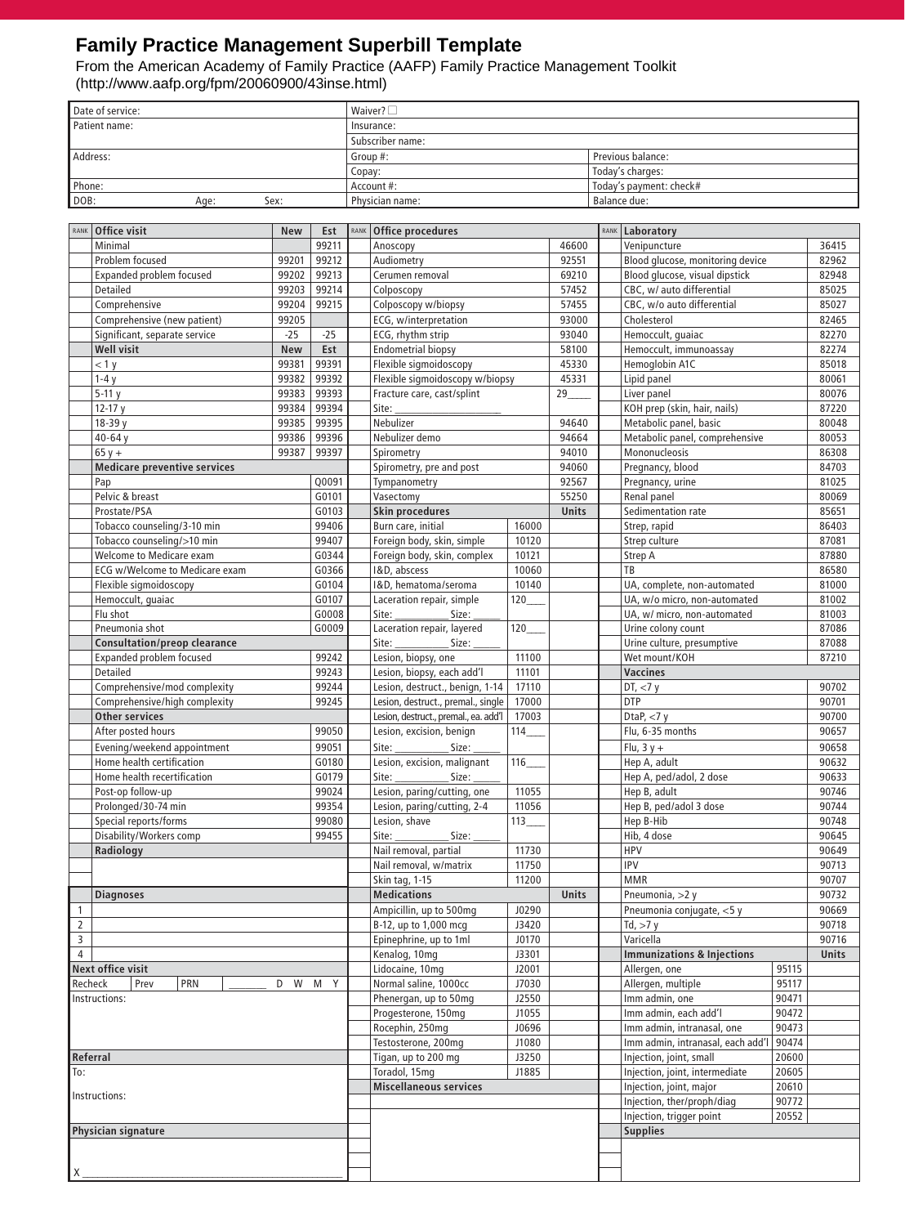### **Family Practice Management Superbill Template**

From the American Academy of Family Practice (AAFP) Family Practice Management Toolkit (http://www.aafp.org/fpm/20060900/43inse.html)

| Date of service: |      |      | Waiver? $\square$ |                         |
|------------------|------|------|-------------------|-------------------------|
| Patient name:    |      |      | Insurance:        |                         |
|                  |      |      | Subscriber name:  |                         |
| Address:         |      |      | Group #:          | Previous balance:       |
|                  |      |      | Copay:            | Today's charges:        |
| Phone:           |      |      | Account #:        | Today's payment: check# |
| DOB:             | Age: | Sex: | Physician name:   | Balance due:            |

| RANK                                   | Office visit                         | New        | Est    | RANK                                           | Office procedures                                                                                                                                                                                                                                                                                                                                                                                                       |       |              | RANK                           | Laboratory                            |       |       |
|----------------------------------------|--------------------------------------|------------|--------|------------------------------------------------|-------------------------------------------------------------------------------------------------------------------------------------------------------------------------------------------------------------------------------------------------------------------------------------------------------------------------------------------------------------------------------------------------------------------------|-------|--------------|--------------------------------|---------------------------------------|-------|-------|
|                                        | Minimal                              |            | 99211  |                                                | Anoscopy                                                                                                                                                                                                                                                                                                                                                                                                                |       | 46600        |                                | Venipuncture                          |       | 36415 |
|                                        | Problem focused                      | 99201      | 99212  |                                                | Audiometry                                                                                                                                                                                                                                                                                                                                                                                                              |       | 92551        |                                | Blood glucose, monitoring device      |       | 82962 |
|                                        | <b>Expanded problem focused</b>      | 99202      | 99213  |                                                | Cerumen removal                                                                                                                                                                                                                                                                                                                                                                                                         |       | 69210        |                                | Blood glucose, visual dipstick        |       | 82948 |
|                                        | Detailed                             | 99203      | 99214  |                                                | Colposcopy                                                                                                                                                                                                                                                                                                                                                                                                              |       | 57452        |                                | CBC, w/ auto differential             |       | 85025 |
|                                        | Comprehensive                        | 99204      | 99215  |                                                | Colposcopy w/biopsy                                                                                                                                                                                                                                                                                                                                                                                                     |       | 57455        |                                | CBC, w/o auto differential            |       | 85027 |
|                                        | Comprehensive (new patient)          | 99205      |        |                                                | ECG, w/interpretation                                                                                                                                                                                                                                                                                                                                                                                                   |       | 93000        |                                | Cholesterol                           |       | 82465 |
|                                        | Significant, separate service        | $-25$      | $-25$  |                                                | ECG, rhythm strip                                                                                                                                                                                                                                                                                                                                                                                                       |       | 93040        |                                | Hemoccult, quaiac                     |       | 82270 |
|                                        | <b>Well visit</b>                    | <b>New</b> | Est    |                                                | <b>Endometrial biopsy</b>                                                                                                                                                                                                                                                                                                                                                                                               |       | 58100        |                                | Hemoccult, immunoassay                |       | 82274 |
|                                        | < 1 y                                | 99381      | 99391  |                                                | Flexible sigmoidoscopy                                                                                                                                                                                                                                                                                                                                                                                                  |       | 45330        |                                | Hemoglobin A1C                        |       | 85018 |
|                                        | $1-4y$                               | 99382      | 99392  |                                                | Flexible sigmoidoscopy w/biopsy                                                                                                                                                                                                                                                                                                                                                                                         |       | 45331        |                                | Lipid panel                           |       | 80061 |
|                                        | $5-11y$                              | 99383      | 99393  |                                                | Fracture care, cast/splint                                                                                                                                                                                                                                                                                                                                                                                              |       | 29           |                                | Liver panel                           |       | 80076 |
|                                        | $12-17y$                             | 99384      | 99394  |                                                | Site:                                                                                                                                                                                                                                                                                                                                                                                                                   |       |              |                                | KOH prep (skin, hair, nails)          |       | 87220 |
|                                        | 18-39 y                              | 99385      | 99395  |                                                | Nebulizer                                                                                                                                                                                                                                                                                                                                                                                                               |       | 94640        |                                | Metabolic panel, basic                |       | 80048 |
|                                        | 40-64 y                              | 99386      | 99396  |                                                | Nebulizer demo                                                                                                                                                                                                                                                                                                                                                                                                          |       | 94664        |                                | Metabolic panel, comprehensive        |       | 80053 |
|                                        | $65y +$                              | 99387      | 99397  |                                                | Spirometry                                                                                                                                                                                                                                                                                                                                                                                                              |       | 94010        |                                | Mononucleosis                         |       | 86308 |
|                                        | <b>Medicare preventive services</b>  |            |        |                                                | Spirometry, pre and post                                                                                                                                                                                                                                                                                                                                                                                                |       | 94060        |                                | Pregnancy, blood                      |       | 84703 |
|                                        | Pap                                  |            | Q0091  |                                                | Tympanometry                                                                                                                                                                                                                                                                                                                                                                                                            |       | 92567        |                                | Pregnancy, urine                      |       | 81025 |
|                                        | Pelvic & breast                      |            | G0101  |                                                | Vasectomy                                                                                                                                                                                                                                                                                                                                                                                                               |       | 55250        |                                | Renal panel                           |       | 80069 |
|                                        | Prostate/PSA                         |            | G0103  |                                                | <b>Skin procedures</b>                                                                                                                                                                                                                                                                                                                                                                                                  |       | Units        |                                | Sedimentation rate                    |       | 85651 |
|                                        | Tobacco counseling/3-10 min          |            | 99406  |                                                | Burn care, initial                                                                                                                                                                                                                                                                                                                                                                                                      | 16000 |              |                                | Strep, rapid                          |       | 86403 |
|                                        | Tobacco counseling/>10 min           |            | 99407  |                                                | Foreign body, skin, simple                                                                                                                                                                                                                                                                                                                                                                                              | 10120 |              |                                | Strep culture                         |       | 87081 |
|                                        | Welcome to Medicare exam             |            |        |                                                | Foreign body, skin, complex                                                                                                                                                                                                                                                                                                                                                                                             |       |              |                                |                                       |       |       |
|                                        |                                      |            | G0344  |                                                |                                                                                                                                                                                                                                                                                                                                                                                                                         | 10121 |              |                                | Strep A                               |       | 87880 |
|                                        | ECG w/Welcome to Medicare exam       |            | G0366  |                                                | I&D, abscess                                                                                                                                                                                                                                                                                                                                                                                                            | 10060 |              |                                | TB                                    |       | 86580 |
|                                        | Flexible sigmoidoscopy               |            | G0104  |                                                | 1&D, hematoma/seroma                                                                                                                                                                                                                                                                                                                                                                                                    | 10140 |              |                                | UA, complete, non-automated           |       | 81000 |
|                                        | Hemoccult, guaiac                    |            | G0107  |                                                | Laceration repair, simple                                                                                                                                                                                                                                                                                                                                                                                               | 120   |              |                                | UA, w/o micro, non-automated          |       | 81002 |
|                                        | Flu shot                             |            | G0008  |                                                | . Size:                                                                                                                                                                                                                                                                                                                                                                                                                 |       |              |                                | UA, w/ micro, non-automated           |       | 81003 |
|                                        | Pneumonia shot                       |            | G0009  |                                                | Laceration repair, layered                                                                                                                                                                                                                                                                                                                                                                                              | 120   |              |                                | Urine colony count                    |       | 87086 |
|                                        | <b>Consultation/preop clearance</b>  |            |        |                                                | Site:<br>Size:                                                                                                                                                                                                                                                                                                                                                                                                          |       |              |                                | Urine culture, presumptive            |       | 87088 |
|                                        | Expanded problem focused             |            | 99242  |                                                | Lesion, biopsy, one                                                                                                                                                                                                                                                                                                                                                                                                     | 11100 |              |                                | Wet mount/KOH                         |       | 87210 |
| Detailed<br>99243                      |                                      |            |        | Lesion, biopsy, each add'l                     | 11101                                                                                                                                                                                                                                                                                                                                                                                                                   |       |              | <b>Vaccines</b>                |                                       |       |       |
|                                        | Comprehensive/mod complexity         |            | 99244  |                                                | Lesion, destruct., benign, 1-14                                                                                                                                                                                                                                                                                                                                                                                         | 17110 |              |                                | DT, <7y                               |       | 90702 |
| Comprehensive/high complexity<br>99245 |                                      |            |        | Lesion, destruct., premal., single             | 17000                                                                                                                                                                                                                                                                                                                                                                                                                   |       |              | <b>DTP</b>                     |                                       | 90701 |       |
|                                        | <b>Other services</b>                |            |        |                                                | Lesion, destruct., premal., ea. add'l                                                                                                                                                                                                                                                                                                                                                                                   | 17003 |              |                                | DtaP, $<$ 7 y                         |       | 90700 |
|                                        | After posted hours<br>99050          |            |        |                                                | Lesion, excision, benign                                                                                                                                                                                                                                                                                                                                                                                                | 114   |              |                                | Flu, 6-35 months                      |       | 90657 |
|                                        | Evening/weekend appointment<br>99051 |            |        |                                                | Site: $\frac{1}{\sqrt{1-\frac{1}{2}}\sqrt{1-\frac{1}{2}}\sqrt{1-\frac{1}{2}}\sqrt{1-\frac{1}{2}}\sqrt{1-\frac{1}{2}}\sqrt{1-\frac{1}{2}}\sqrt{1-\frac{1}{2}}\sqrt{1-\frac{1}{2}}\sqrt{1-\frac{1}{2}}\sqrt{1-\frac{1}{2}}\sqrt{1-\frac{1}{2}}\sqrt{1-\frac{1}{2}}\sqrt{1-\frac{1}{2}}\sqrt{1-\frac{1}{2}}\sqrt{1-\frac{1}{2}}\sqrt{1-\frac{1}{2}}\sqrt{1-\frac{1}{2}}\sqrt{1-\frac{1}{2}}\sqrt{1-\frac{1}{2}}$<br>_Size: |       |              |                                | Flu, $3y +$                           |       | 90658 |
|                                        | Home health certification            |            | G0180  |                                                | Lesion, excision, malignant                                                                                                                                                                                                                                                                                                                                                                                             | 116   |              |                                | Hep A, adult                          |       | 90632 |
|                                        | Home health recertification          |            | G0179  |                                                | Site:<br>_Size:                                                                                                                                                                                                                                                                                                                                                                                                         |       |              |                                | Hep A, ped/adol, 2 dose               |       | 90633 |
|                                        | Post-op follow-up                    |            | 99024  |                                                | Lesion, paring/cutting, one                                                                                                                                                                                                                                                                                                                                                                                             | 11055 |              |                                | Hep B, adult                          |       | 90746 |
|                                        | Prolonged/30-74 min                  |            | 99354  |                                                | Lesion, paring/cutting, 2-4                                                                                                                                                                                                                                                                                                                                                                                             | 11056 |              |                                | Hep B, ped/adol 3 dose                |       | 90744 |
|                                        | Special reports/forms                |            | 99080  |                                                | Lesion, shave                                                                                                                                                                                                                                                                                                                                                                                                           | 113   |              |                                | Hep B-Hib                             |       | 90748 |
|                                        | Disability/Workers comp              |            | 99455  |                                                | Site:<br>Size:                                                                                                                                                                                                                                                                                                                                                                                                          |       |              |                                | Hib, 4 dose                           |       | 90645 |
|                                        | Radiology                            |            |        |                                                | Nail removal, partial                                                                                                                                                                                                                                                                                                                                                                                                   | 11730 |              |                                | <b>HPV</b>                            |       | 90649 |
|                                        |                                      |            |        |                                                | Nail removal, w/matrix                                                                                                                                                                                                                                                                                                                                                                                                  | 11750 |              |                                | IPV                                   |       | 90713 |
|                                        |                                      |            |        |                                                | Skin tag, 1-15                                                                                                                                                                                                                                                                                                                                                                                                          | 11200 |              |                                | <b>MMR</b>                            |       | 90707 |
|                                        | <b>Diagnoses</b>                     |            |        |                                                | <b>Medications</b>                                                                                                                                                                                                                                                                                                                                                                                                      |       | <b>Units</b> |                                | Pneumonia, >2 y                       |       | 90732 |
| 1                                      |                                      |            |        |                                                | Ampicillin, up to 500mg                                                                                                                                                                                                                                                                                                                                                                                                 | J0290 |              |                                | Pneumonia conjugate, <5 y             |       | 90669 |
| $\overline{2}$                         |                                      |            |        |                                                | B-12, up to 1,000 mcg                                                                                                                                                                                                                                                                                                                                                                                                   | J3420 |              |                                | Td, $>7y$                             |       | 90718 |
| 3                                      |                                      |            |        |                                                | Epinephrine, up to 1ml                                                                                                                                                                                                                                                                                                                                                                                                  | J0170 |              |                                | Varicella                             |       | 90716 |
| 4                                      |                                      |            |        |                                                | Kenalog, 10mg                                                                                                                                                                                                                                                                                                                                                                                                           | J3301 |              |                                | <b>Immunizations &amp; Injections</b> |       | Units |
|                                        | Next office visit                    |            |        |                                                | Lidocaine, 10mg                                                                                                                                                                                                                                                                                                                                                                                                         | J2001 |              |                                | Allergen, one                         | 95115 |       |
| Recheck                                | Prev<br>PRN                          | D<br>W     | Y<br>M |                                                | Normal saline, 1000cc                                                                                                                                                                                                                                                                                                                                                                                                   | J7030 |              |                                | Allergen, multiple                    | 95117 |       |
|                                        | Instructions:                        |            |        |                                                | Phenergan, up to 50mg                                                                                                                                                                                                                                                                                                                                                                                                   | J2550 |              |                                | Imm admin, one                        | 90471 |       |
|                                        |                                      |            |        |                                                | Progesterone, 150mg                                                                                                                                                                                                                                                                                                                                                                                                     | J1055 |              |                                | Imm admin, each add'l                 | 90472 |       |
|                                        |                                      |            |        |                                                | Rocephin, 250mq                                                                                                                                                                                                                                                                                                                                                                                                         | J0696 |              |                                | Imm admin, intranasal, one            | 90473 |       |
|                                        |                                      |            |        |                                                | Testosterone, 200mg                                                                                                                                                                                                                                                                                                                                                                                                     | J1080 |              |                                | Imm admin, intranasal, each add'l     | 90474 |       |
| Referral                               |                                      |            |        | Tigan, up to 200 mg                            | J3250                                                                                                                                                                                                                                                                                                                                                                                                                   |       |              | Injection, joint, small        | 20600                                 |       |       |
|                                        |                                      |            |        |                                                |                                                                                                                                                                                                                                                                                                                                                                                                                         |       |              |                                |                                       |       |       |
| To:                                    |                                      |            |        | Toradol, 15mg<br><b>Miscellaneous services</b> | J1885                                                                                                                                                                                                                                                                                                                                                                                                                   |       |              | Injection, joint, intermediate | 20605                                 |       |       |
| Instructions:                          |                                      |            |        |                                                |                                                                                                                                                                                                                                                                                                                                                                                                                         |       |              | Injection, joint, major        | 20610                                 |       |       |
|                                        |                                      |            |        |                                                |                                                                                                                                                                                                                                                                                                                                                                                                                         |       |              |                                | Injection, ther/proph/diag            | 90772 |       |
|                                        |                                      |            |        |                                                |                                                                                                                                                                                                                                                                                                                                                                                                                         |       |              |                                | Injection, trigger point              | 20552 |       |
| Physician signature                    |                                      |            |        |                                                |                                                                                                                                                                                                                                                                                                                                                                                                                         |       |              | <b>Supplies</b>                |                                       |       |       |
|                                        |                                      |            |        |                                                |                                                                                                                                                                                                                                                                                                                                                                                                                         |       |              |                                |                                       |       |       |
| X                                      |                                      |            |        |                                                |                                                                                                                                                                                                                                                                                                                                                                                                                         |       |              |                                |                                       |       |       |
|                                        |                                      |            |        |                                                |                                                                                                                                                                                                                                                                                                                                                                                                                         |       |              |                                |                                       |       |       |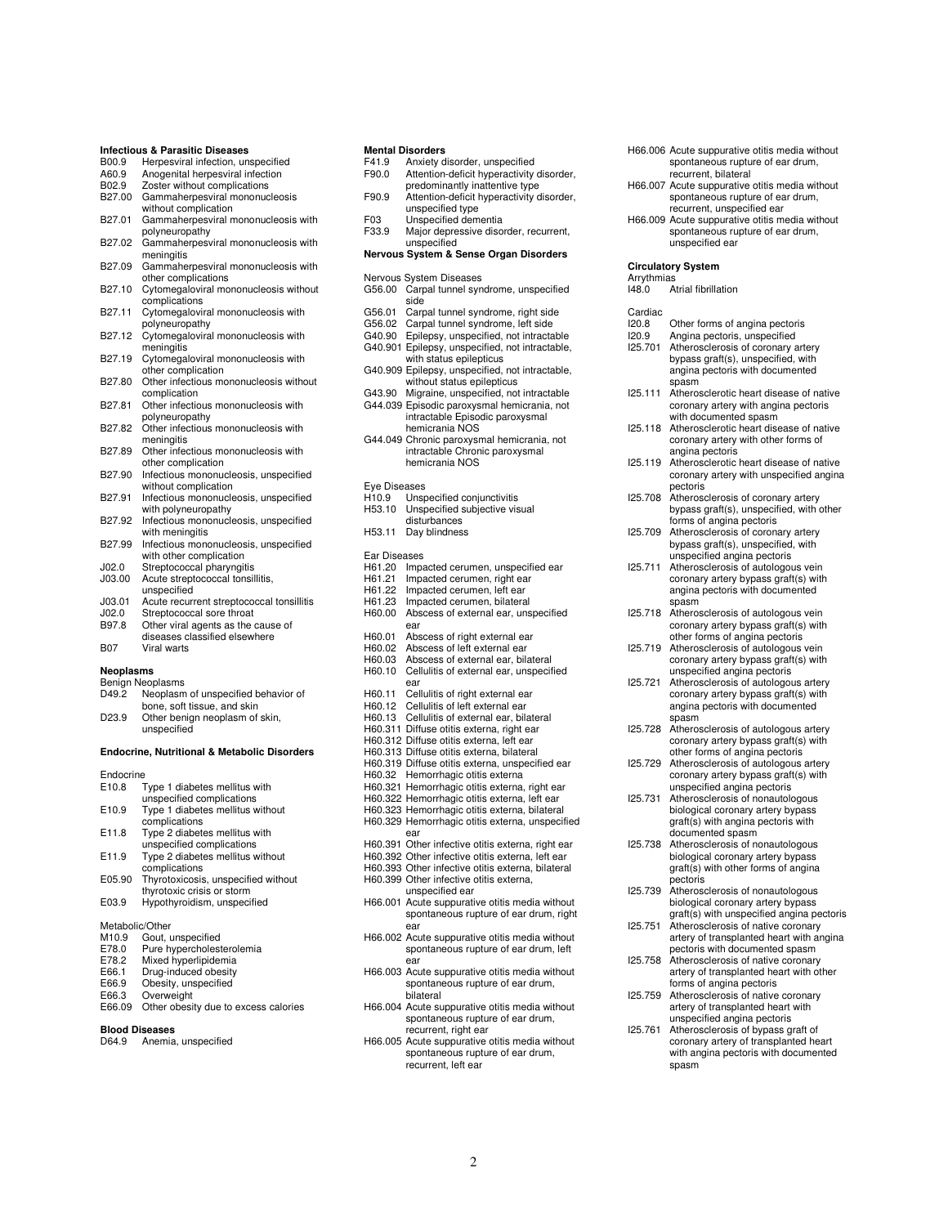|                    | Infectious & Parasitic Diseases                                     |
|--------------------|---------------------------------------------------------------------|
| B00.9              | Herpesviral infection, unspecified                                  |
| A60.9              | Anogenital herpesviral infection                                    |
| B02.9<br>B27.00    | Zoster without complications                                        |
|                    | Gammaherpesviral mononucleosis                                      |
| B27.01             | without complication                                                |
|                    | Gammaherpesviral mononucleosis with<br>polyneuropathy               |
| B27.02             |                                                                     |
|                    | Gammaherpesviral mononucleosis with                                 |
| B27.09             | meningitis<br>Gammaherpesviral mononucleosis with                   |
|                    | other complications                                                 |
| B27.10             | Cytomegaloviral mononucleosis without                               |
|                    | complications                                                       |
| B <sub>27.11</sub> | Cytomegaloviral mononucleosis with                                  |
|                    | polyneuropathy                                                      |
| B27.12             | Cytomegaloviral mononucleosis with                                  |
|                    | meningitis                                                          |
| B27.19             | Cytomegaloviral mononucleosis with                                  |
|                    | other complication                                                  |
| B27.80             | Other infectious mononucleosis without                              |
|                    | complication                                                        |
| B27.81             | Other infectious mononucleosis with                                 |
|                    | polyneuropathy                                                      |
| B27.82             | Other infectious mononucleosis with                                 |
|                    | meningitis                                                          |
| B27.89             | Other infectious mononucleosis with                                 |
|                    | other complication                                                  |
| B27.90             | Infectious mononucleosis, unspecified<br>without complication       |
| B27.91             | Infectious mononucleosis, unspecified                               |
|                    | with polyneuropathy                                                 |
| B <sub>27.92</sub> | Infectious mononucleosis, unspecified                               |
|                    | with meningitis                                                     |
| B27.99             | Infectious mononucleosis, unspecified                               |
|                    | with other complication                                             |
| JO2.0              | Streptococcal pharyngitis                                           |
| J03.00             | Acute streptococcal tonsillitis,                                    |
|                    | unspecified                                                         |
| J03.01             | Acute recurrent streptococcal tonsillitis                           |
| JO2.0              | Streptococcal sore throat                                           |
| B97.8              | Other viral agents as the cause of<br>diseases classified elsewhere |
| <b>B07</b>         | Viral warts                                                         |
|                    |                                                                     |
| Neoplasms          |                                                                     |
|                    | Benign Neoplasms                                                    |
| D49.2              | Neoplasm of unspecified behavior of                                 |
|                    | bone, soft tissue, and skin                                         |
| D23.9              | Other benign neoplasm of skin,                                      |
|                    | unspecified                                                         |
|                    |                                                                     |
|                    | <b>Endocrine, Nutritional &amp; Metabolic Disorders</b>             |
| Endocrine          |                                                                     |
| E10.8              | Type 1 diabetes mellitus with                                       |
|                    | unspecified complications                                           |
| E10.9              | Type 1 diabetes mellitus without                                    |
|                    | complications                                                       |
| E11.8              | Type 2 diabetes mellitus with                                       |
|                    | unspecified complications                                           |
| E11.9              | Type 2 diabetes mellitus without                                    |
|                    | complications                                                       |
| E05.90             | Thyrotoxicosis, unspecified without                                 |
|                    | thyrotoxic crisis or storm                                          |
| E03.9              | Hypothyroidism, unspecified                                         |
| Metabolic/Other    |                                                                     |
| M10.9              | Gout, unspecified                                                   |
| E78.0              | Pure hypercholesterolemia                                           |
| E78.2              | Mixed hyperlipidemia                                                |
| E66.1              | Drug-induced obesity                                                |

| LUU.I        | Drug-muuced Obesit   |
|--------------|----------------------|
| E66.9        | Obesity, unspecified |
| <b>FRA 3</b> | Ovenweight           |

- Overweight
- E66.09 Other obesity due to excess calories

## **Blood Diseases**

D64.9 Anemia, unspecified

#### **Mental Disorders**

| F41.9            | mental Disorders                                                                              |
|------------------|-----------------------------------------------------------------------------------------------|
| F90.0            | Anxiety disorder, unspecified<br>Attention-deficit hyperactivity disorder,                    |
|                  | predominantly inattentive type                                                                |
| F90.9            | Attention-deficit hyperactivity disorder,                                                     |
|                  | unspecified type                                                                              |
| F03              | Unspecified dementia                                                                          |
| F33.9            | Major depressive disorder, recurrent,                                                         |
|                  | unspecified                                                                                   |
|                  | Nervous System & Sense Organ Disorders                                                        |
|                  |                                                                                               |
|                  | Nervous System Diseases                                                                       |
| G56.00           | Carpal tunnel syndrome, unspecified                                                           |
|                  | side                                                                                          |
| G56.01           | Carpal tunnel syndrome, right side                                                            |
| G56.02           | Carpal tunnel syndrome, left side                                                             |
| G40.90           | Epilepsy, unspecified, not intractable                                                        |
|                  | G40.901 Epilepsy, unspecified, not intractable,<br>with status epilepticus                    |
|                  | G40.909 Epilepsy, unspecified, not intractable,                                               |
|                  | without status epilepticus                                                                    |
| G43.90           | Migraine, unspecified, not intractable                                                        |
|                  | G44.039 Episodic paroxysmal hemicrania, not                                                   |
|                  | intractable Episodic paroxysmal                                                               |
|                  | hemicrania NOS                                                                                |
|                  | G44.049 Chronic paroxysmal hemicrania, not                                                    |
|                  | intractable Chronic paroxysmal                                                                |
|                  | hemicrania NOS                                                                                |
|                  |                                                                                               |
| Eye Diseases     |                                                                                               |
| H10.9            | Unspecified conjunctivitis                                                                    |
| H53.10           | Unspecified subjective visual<br>disturbances                                                 |
| H53.11           | Day blindness                                                                                 |
|                  |                                                                                               |
| Ear Diseases     |                                                                                               |
| H61.20           | Impacted cerumen, unspecified ear                                                             |
| H61.21           | Impacted cerumen, right ear                                                                   |
| H61.22           | Impacted cerumen, left ear                                                                    |
| H61.23           | Impacted cerumen, bilateral                                                                   |
| H60.00           | Abscess of external ear, unspecified                                                          |
|                  | ear                                                                                           |
| H60.01           | Abscess of right external ear<br>Abscess of left external ear                                 |
| H60.02<br>H60.03 | Abscess of external ear, bilateral                                                            |
| H60.10           | Cellulitis of external ear, unspecified                                                       |
|                  | ear                                                                                           |
| H60.11           | Cellulitis of right external ear                                                              |
| H60.12           | Cellulitis of left external ear                                                               |
| H60.13           | Cellulitis of external ear, bilateral                                                         |
|                  | H60.311 Diffuse otitis externa, right ear                                                     |
|                  | H60.312 Diffuse otitis externa, left ear                                                      |
|                  | H60.313 Diffuse otitis externa, bilateral                                                     |
|                  | H60.319 Diffuse otitis externa, unspecified ear                                               |
| H60.32           | Hemorrhagic otitis externa                                                                    |
|                  | H60.321 Hemorrhagic otitis externa, right ear                                                 |
|                  | H60.322 Hemorrhagic otitis externa, left ear<br>H60.323 Hemorrhagic otitis externa, bilateral |
|                  | H60.329 Hemorrhagic otitis externa, unspecified                                               |
|                  | ear                                                                                           |
| H60.391          | Other infective otitis externa, right ear                                                     |
|                  | H60.392 Other infective otitis externa, left ear                                              |
|                  | H60.393 Other infective otitis externa, bilateral                                             |
|                  | H60.399 Other infective otitis externa,                                                       |
|                  | unspecified ear                                                                               |
|                  | H66.001 Acute suppurative otitis media without                                                |
|                  | spontaneous rupture of ear drum, right                                                        |
|                  | ear                                                                                           |
|                  | H66.002 Acute suppurative otitis media without                                                |
|                  | spontaneous rupture of ear drum, left<br>ear                                                  |
|                  | H66.003 Acute suppurative otitis media without                                                |
|                  | spontaneous rupture of ear drum,                                                              |
|                  | bilateral                                                                                     |
|                  | H66.004 Acute suppurative otitis media without                                                |
|                  | spontaneous rupture of ear drum,                                                              |
|                  | recurrent, right ear                                                                          |
|                  | H66.005 Acute suppurative otitis media without                                                |
|                  | spontaneous rupture of ear drum,                                                              |
|                  | recurrent left ear                                                                            |

- H66.006 Acute suppurative otitis media without spontaneous rupture of ear drum, recurrent, bilateral H66.007 Acute suppurative otitis media without spontaneous rupture of ear drum, recurrent, unspecified ear H66.009 Acute suppurative otitis media without spontaneous rupture of ear drum, unspecified ear **Circulatory System**  Arrythmias<br>148.0 A --<br>Atrial fibrillation Cardiac<br>I20.8 **I20.8** Other forms of angina pectoris<br>I20.9 Angina pectoris, unspecified I20.9 Angina pectoris, unspecified<br>I25.701 Atherosclerosis of coronary a Atherosclerosis of coronary artery bypass graft(s), unspecified, with angina pectoris with documented spasm I25.111 Atherosclerotic heart disease of native coronary artery with angina pectoris with documented spasm I25.118 Atherosclerotic heart disease of native coronary artery with other forms of angina pectoris I25.119 Atherosclerotic heart disease of native coronary artery with unspecified angina pectoris I25.708 Atherosclerosis of coronary artery bypass graft(s), unspecified, with other forms of angina pectoris I25.709 Atherosclerosis of coronary artery bypass graft(s), unspecified, with
- unspecified angina pectoris I25.711 Atherosclerosis of autologous vein coronary artery bypass graft(s) with angina pectoris with documented spasm
- I25.718 Atherosclerosis of autologous vein coronary artery bypass graft(s) with other forms of angina pectoris
- I25.719 Atherosclerosis of autologous vein coronary artery bypass graft(s) with unspecified angina pectoris I25.721 Atherosclerosis of autologous artery
- coronary artery bypass graft(s) with angina pectoris with documented spasm I25.728 Atherosclerosis of autologous artery
- coronary artery bypass graft(s) with other forms of angina pectoris
- I25.729 Atherosclerosis of autologous artery coronary artery bypass graft(s) with unspecified angina pectoris I25.731 Atherosclerosis of nonautologous
- biological coronary artery bypass graft(s) with angina pectoris with documented spasm
- I25.738 Atherosclerosis of nonautologous biological coronary artery bypass graft(s) with other forms of angina pectoris
- I25.739 Atherosclerosis of nonautologous biological coronary artery bypass graft(s) with unspecified angina pectoris I25.751 Atherosclerosis of native coronary artery of transplanted heart with angina
- pectoris with documented spasm I25.758 Atherosclerosis of native coronary
- artery of transplanted heart with other forms of angina pectoris I25.759 Atherosclerosis of native coronary
- artery of transplanted heart with unspecified angina pectoris
- I25.761 Atherosclerosis of bypass graft of coronary artery of transplanted heart with angina pectoris with documented spasm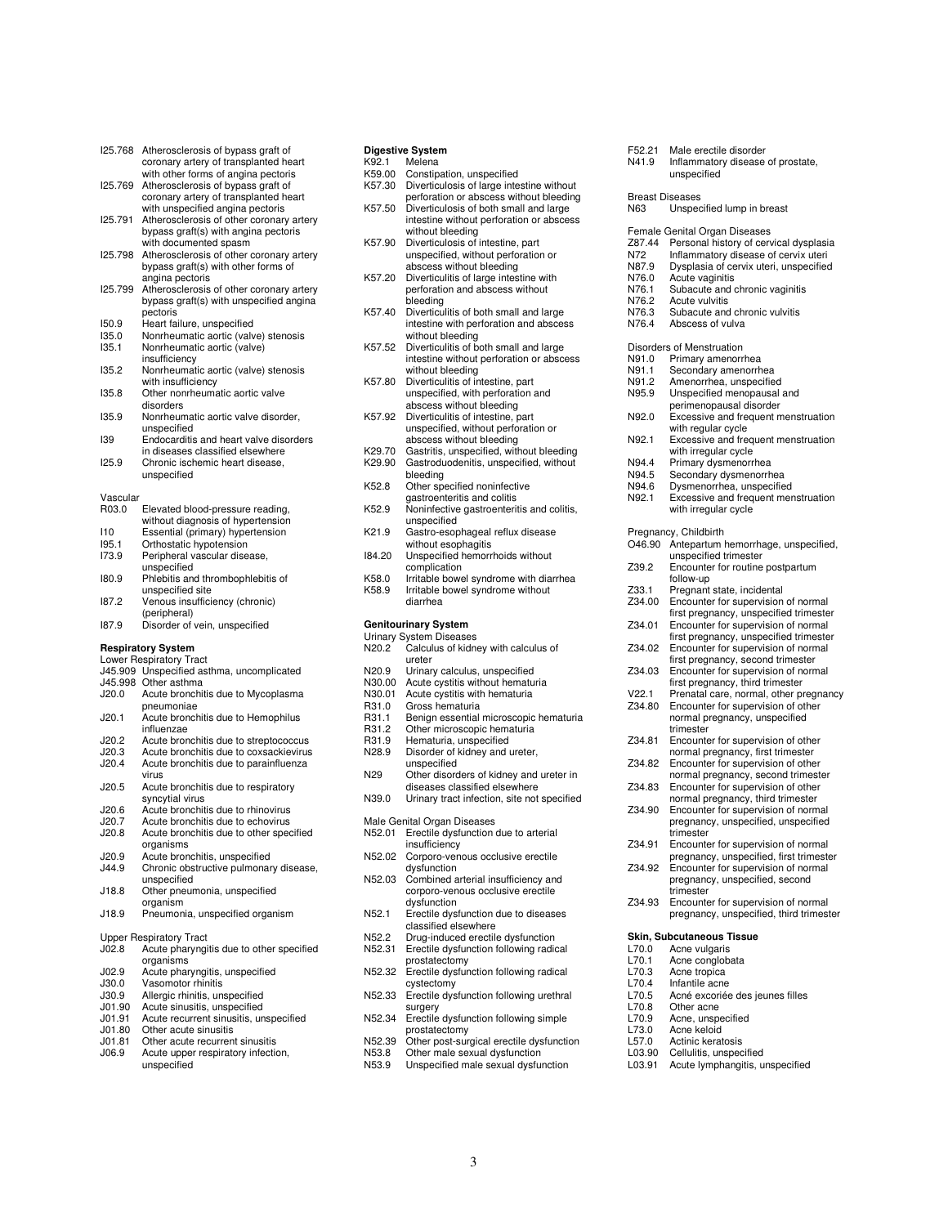| 125.768        | Atherosclerosis of bypass graft of<br>coronary artery of transplanted heart                                        |
|----------------|--------------------------------------------------------------------------------------------------------------------|
| 125.769        | with other forms of angina pectoris<br>Atherosclerosis of bypass graft of<br>coronary artery of transplanted heart |
| 125.791        | with unspecified angina pectoris<br>Atherosclerosis of other coronary artery                                       |
| 125.798        | bypass graft(s) with angina pectoris<br>with documented spasm<br>Atherosclerosis of other coronary artery          |
|                | bypass graft(s) with other forms of<br>angina pectoris                                                             |
| 125.799        | Atherosclerosis of other coronary artery<br>bypass graft(s) with unspecified angina                                |
|                | pectoris                                                                                                           |
| 150.9<br>135.0 | Heart failure, unspecified                                                                                         |
| 135.1          | Nonrheumatic aortic (valve) stenosis<br>Nonrheumatic aortic (valve)<br>insufficiency                               |
| 135.2          | Nonrheumatic aortic (valve) stenosis<br>with insufficiency                                                         |
| 135.8          | Other nonrheumatic aortic valve<br>disorders                                                                       |
| 135.9          | Nonrheumatic aortic valve disorder,<br>unspecified                                                                 |
| 139            | Endocarditis and heart valve disorders<br>in diseases classified elsewhere                                         |
| 125.9          | Chronic ischemic heart disease.<br>unspecified                                                                     |
| Vascular       |                                                                                                                    |
| R03.0          | Elevated blood-pressure reading,<br>without diagnosis of hypertension                                              |
| 110            | Essential (primary) hypertension                                                                                   |
| 195.1          | Orthostatic hypotension                                                                                            |
| 173.9          | Peripheral vascular disease,                                                                                       |
| 180.9          | unspecified<br>Phlebitis and thrombophlebitis of                                                                   |
| 187.2          | unspecified site<br>Venous insufficiency (chronic)                                                                 |
|                | (peripheral)                                                                                                       |
| 187.9          | Disorder of vein, unspecified                                                                                      |
|                | <b>Respiratory System</b>                                                                                          |
|                | <b>Lower Respiratory Tract</b>                                                                                     |
| J45.909        | Unspecified asthma, uncomplicated                                                                                  |
| J45.998        | Other asthma                                                                                                       |
| J20.0          | Acute bronchitis due to Mycoplasma                                                                                 |
| J20.1          | pneumoniae                                                                                                         |
|                | Acute bronchitis due to Hemophilus<br>influenzae                                                                   |
| J20.2          | Acute bronchitis due to streptococcus                                                                              |
| J20.3          | Acute bronchitis due to coxsackievirus                                                                             |
| J20.4          | Acute bronchitis due to parainfluenza<br>virus                                                                     |
| J20.5          | Acute bronchitis due to respiratory<br>syncytial virus                                                             |

- syncytial virus J20.6 Acute bronchitis due to rhinovirus
- J20.7 Acute bronchitis due to echovirus<br>J20.8 Acute bronchitis due to other spec Acute bronchitis due to other specified
- organisms J20.9 Acute bronchitis, unspecified J44.9 Chronic obstructive pulmonary disease,
- unspecified J18.8 Other pneumonia, unspecified
- organism J18.9 Pneumonia, unspecified organism
- Upper Respiratory Tract<br>J02.8 Acute pharyngi
- J02.8 Acute pharyngitis due to other specified organisms
- J02.9 Acute pharyngitis, unspecified<br>J30.0 Vasomotor rhinitis
- J30.0 Vasomotor rhinitis
- J30.9 Allergic rhinitis, unspecified<br>J01.90 Acute sinusitis, unspecified
- J01.90 Acute sinusitis, unspecified<br>J01.91 Acute recurrent sinusitis, un J01.91 Acute recurrent sinusitis, unspecified
- 
- J01.80 Other acute sinusitis<br>J01.81 Other acute recurrent
- J01.81 Other acute recurrent sinusitis<br>J06.9 Acute unner respiratory infection Acute upper respiratory infection, unspecified

# **Digestive System**

K92.1 Melena<br>K59.00 Constina Constipation, unspecified

- K57.30 Diverticulosis of large intestine without
- perforation or abscess without bleeding
- K57.50 Diverticulosis of both small and large intestine without perforation or abscess
- without bleeding K57.90 Diverticulosis of intestine, part unspecified, without perforation or abscess without bleeding
- K57.20 Diverticulitis of large intestine with perforation and abscess without bleeding
- K57.40 Diverticulitis of both small and large intestine with perforation and abscess without bleeding
- K57.52 Diverticulitis of both small and large intestine without perforation or abscess
- without bleeding K57.80 Diverticulitis of intestine, part unspecified, with perforation and abscess without bleeding
- K57.92 Diverticulitis of intestine, part unspecified, without perforation or abscess without bleeding
- K29.70 Gastritis, unspecified, without bleeding<br>K29.90 Gastroduodenitis, unspecified, without Gastroduodenitis, unspecified, without bleeding
- K52.8 Other specified noninfective
- gastroenteritis and colitis K52.9 Noninfective gastroenteritis and colitis, unspecified
- K21.9 Gastro-esophageal reflux disease without esophagitis
- I84.20 Unspecified hemorrhoids without complication
- K58.0 Irritable bowel syndrome with diarrhea K58.9 Irritable bowel syndrome without diarrhea
- 

# **Genitourinary System**

- Urinary System Diseases<br>N20.2 Calculus of kidne Section Presences<br>Calculus of kidney with calculus of ureter
- 
- N20.9 Urinary calculus, unspecified<br>N30.00 Acute cystitis without hematu N30.00 Acute cystitis without hematuria<br>N30.01 Acute cystitis with hematuria
- N30.01 Acute cystitis with hematuria<br>R31.0 Gross hematuria
- 
- R31.0 Gross hematuria<br>R31.1 Benign essential R31.1 Benign essential microscopic hematuria<br>R31.2 Other microscopic hematuria
- R31.2 Other microscopic hematuria<br>R31.9 Hematuria unspecified
- R31.9 Hematuria, unspecified<br>N28.9 Disorder of kidney and
- Disorder of kidney and ureter,
- unspecified N29 Other disorders of kidney and ureter in
- diseases classified elsewhere
- N39.0 Urinary tract infection, site not specified
- Male Genital Organ Diseases<br>N52.01 Erectile dysfunction
- Erectile dysfunction due to arterial insufficiency
- N52.02 Corporo-venous occlusive erectile dysfunction
- N52.03 Combined arterial insufficiency and corporo-venous occlusive erectile dysfunction
- N52.1 Erectile dysfunction due to diseases classified elsewhere
- N52.2 Drug-induced erectile dysfunction<br>N52.31 Erectile dysfunction following radio Erectile dysfunction following radical
- prostatectomy N52.32 Erectile dysfunction following radical
- cystectomy N52.33 Erectile dysfunction following urethral surgery
- N52.34 Erectile dysfunction following simple
- prostatectomy
- N52.39 Other post-surgical erectile dysfunction<br>N53.8 Other male sexual dysfunction N53.8 Other male sexual dysfunction<br>N53.9 Unspecified male sexual dysfur
- Unspecified male sexual dysfunction
- F52.21 Male erectile disorder<br>N41.9 Inflammatory disease
- Inflammatory disease of prostate, unspecified

# Breast Diseases<br>N63 Unspec

- Unspecified lump in breast
- 
- Female Genital Organ Diseases Z87.44 Personal history of cervical dysplasia
- N72 Inflammatory disease of cervix uteri N87.9 Dysplasia of cervix uteri, unspecified
- 
- N76.0 Acute vaginitis<br>N76.1 Subacute and o
- N76.1 Subacute and chronic vaginitis<br>N76.2 Acute vulvitis
- N76.2 Acute vulvitis<br>N76.3 Subacute and
- N76.3 Subacute and chronic vulvitis<br>N76.4 Abscess of vulva
- Abscess of vulva

# Disorders of Menstruation<br>N91.0 Primary amenorr

- N91.0 Primary amenorrhea<br>N91.1 Secondary amenorrh
- N91.1 Secondary amenorrhea<br>N91.2 Amenorrhea unspecifie
- N91.2 Amenorrhea, unspecified<br>N95.9 Unspecified menopausal
- Unspecified menopausal and perimenopausal disorder
- N92.0 Excessive and frequent menstruation with regular cycle
- N92.1 Excessive and frequent menstruation with irregular cycle
- N94.4 Primary dysmenorrhea<br>N94.5 Secondary dysmenorrh
- 
- N94.5 Secondary dysmenorrhea
- N94.6 Dysmenorrhea, unspecified<br>N92.1 Excessive and frequent mer Excessive and frequent menstruation with irregular cycle
- 
- Pregnancy, Childbirth<br>O46.90 Antepartum I Antepartum hemorrhage, unspecified, unspecified trimester Z39.2 Encounter for routine postpartum follow-up Z33.1 Pregnant state, incidental<br>Z34.00 Encounter for supervision Encounter for supervision of normal first pregnancy, unspecified trimester Z34.01 Encounter for supervision of normal first pregnancy, unspecified trimester Z34.02 Encounter for supervision of normal first pregnancy, second trimester Z34.03 Encounter for supervision of normal first pregnancy, third trimester V22.1 Prenatal care, normal, other pregnancy<br>734.80 Encounter for supervision of other Encounter for supervision of other normal pregnancy, unspecified trimester Z34.81 Encounter for supervision of other normal pregnancy, first trimester Z34.82 Encounter for supervision of other normal pregnancy, second trimester Z34.83 Encounter for supervision of other normal pregnancy, third trimester Z34.90 Encounter for supervision of normal pregnancy, unspecified, unspecified .<br>trimester Z34.91 Encounter for supervision of normal pregnancy, unspecified, first trimester Z34.92 Encounter for supervision of normal pregnancy, unspecified, second **trimester** Z34.93 Encounter for supervision of normal pregnancy, unspecified, third trimester

## **Skin, Subcutaneous Tissue**

- L70.0 Acne vulgaris<br>L70.1 Acne conglob
- L70.1 Acne conglobata<br>L70.3 Acne tropica
- L70.3 Acne tropica
- L70.4 Infantile acne<br>L70.5 Acné excoriée L70.5 Acné excoriée des jeunes filles<br>L70.8 Other acne
- 
- L70.8 Other acne<br>L70.9 Acne, unsp L70.9 Acne, unspecified<br>L73.0 Acne keloid
	-
- L73.0 Acne keloid<br>L57.0 Actinic kerat L57.0 Actinic keratosis<br>L03.90 Cellulitis unspec
- L03.90 Cellulitis, unspecified<br>L03.91 Acute Ivmphangitis, u
- Acute lymphangitis, unspecified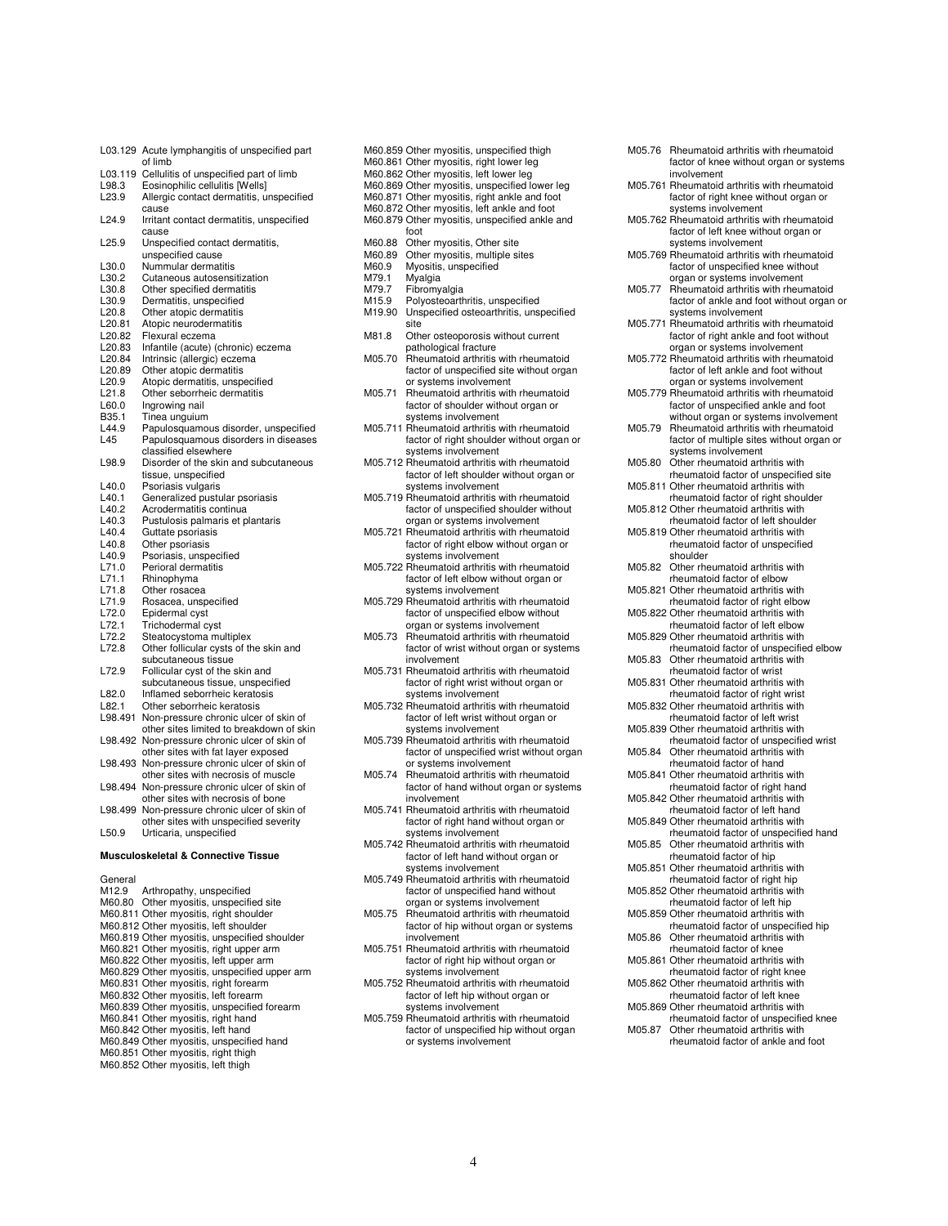L03.129 Acute lymphangitis of unspecified part of limb L03.119 Cellulitis of unspecified part of limb L98.3 Eosinophilic cellulitis [Wells] L23.9 Allergic contact dermatitis, unspecified cause L24.9 Irritant contact dermatitis, unspecified cause L<sub>25.9</sub> Unspecified contact dermatitis. unspecified cause L30.0 Nummular dermatitis<br>L30.2 Cutaneous autosensi L30.2 Cutaneous autosensitization<br>L30.8 Other specified dermatitis L30.8 Other specified dermatitis<br>L30.9 Dermatitis unspecified L30.9 Dermatitis, unspecified<br>L20.8 Other atopic dermatitis L20.8 Other atopic dermatitis<br>L20.81 Atopic neurodermatitis L20.81 Atopic neurodermatitis<br>L20.82 Flexural eczema L20.82 Flexural eczema<br>L20.83 Infantile (acute) ( L20.83 Infantile (acute) (chronic) eczema L20.84 Intrinsic (allergic) eczema<br>L20.89 Other atopic dermatitis L20.89 Other atopic dermatitis<br>L20.9 Atopic dermatitis unspe L20.9 Atopic dermatitis, unspecified<br>L21.8 Other seborrheic dermatitis L21.8 Other seborrheic dermatitis<br>L60.0 Ingrowing nail L60.0 Ingrowing nail<br>B35.1 Tinea unguium B35.1 Tinea unguium<br>L44.9 Papulosquamo L44.9 Papulosquamous disorder, unspecified<br>L45 Papulosquamous disorders in diseases Papulosquamous disorders in diseases classified elsewhere L98.9 Disorder of the skin and subcutaneous tissue, unspecified L40.0 Psoriasis vulgaris<br>L40.1 Generalized pustu L40.1 Generalized pustular psoriasis<br>L40.2 Acrodermatitis continua Acrodermatitis continua L40.3 Pustulosis palmaris et plantaris<br>L40.4 Guttate psoriasis L40.4 Guttate psoriasis<br>L40.8 Other psoriasis L40.8 Other psoriasis<br>L40.9 Psoriasis, unsp L40.9 Psoriasis, unspecified<br>L71.0 Perioral dermatitis L71.0 Perioral dermatitis<br>L71.1 Rhinophyma L71.1 Rhinophyma<br>L71.8 Other rosace<br>L71.9 Rosacea, un Other rosacea L71.9 Rosacea, unspecified<br>L72.0 Epidermal cyst L72.0 Epidermal cyst<br>L72.1 Trichodermal cy L72.1 Trichodermal cyst L72.2 Steatocystoma multiplex<br>L72.8 Other follicular cysts of the Other follicular cysts of the skin and subcutaneous tissue L72.9 Follicular cyst of the skin and subcutaneous tissue, unspecified L82.0 Inflamed seborrheic keratosis<br>L82.1 Other seborrheic keratosis Other seborrheic keratosis L98.491 Non-pressure chronic ulcer of skin of other sites limited to breakdown of skin L98.492 Non-pressure chronic ulcer of skin of other sites with fat layer exposed L98.493 Non-pressure chronic ulcer of skin of other sites with necrosis of muscle L98.494 Non-pressure chronic ulcer of skin of other sites with necrosis of bone L98.499 Non-pressure chronic ulcer of skin of other sites with unspecified severity L50.9 Urticaria, unspecified **Musculoskeletal & Connective Tissue** General

| M12.9 Arthropathy, unspecified                |
|-----------------------------------------------|
| M60.80 Other myositis, unspecified site       |
| M60.811 Other myositis, right shoulder        |
| M60.812 Other myositis, left shoulder         |
| M60.819 Other myositis, unspecified shoulder  |
| M60.821 Other myositis, right upper arm       |
| M60.822 Other myositis, left upper arm        |
| M60.829 Other myositis, unspecified upper arm |
| M60.831 Other myositis, right forearm         |
| M60.832 Other myositis, left forearm          |
| M60.839 Other myositis, unspecified forearm   |
| M60.841 Other myositis, right hand            |
| M60.842 Other myositis, left hand             |
| M60.849 Other myositis, unspecified hand      |
| M60.851 Other myositis, right thigh           |
| M60.852 Other myositis, left thigh            |

M60.862 Other myositis, left lower leg M60.869 Other myositis, unspecified lower leg M60.871 Other myositis, right ankle and foot M60.872 Other myositis, left ankle and foot M60.879 Other myositis, unspecified ankle and foot M60.88 Other myositis, Other site<br>M60.89 Other myositis, multiple si M60.89 Other myositis, multiple sites M60.9 Myositis, unspecified M79.1 Myalgia<br>M79.7 Fibromy M79.7 Fibromyalgia<br>M15.9 Polyosteoarth M15.9 Polyosteoarthritis, unspecified<br>M19.90 Unspecified osteoarthritis uns M19.90 Unspecified osteoarthritis, unspecified site M81.8 Other osteoporosis without current pathological fracture M05.70 Rheumatoid arthritis with rheumatoid factor of unspecified site without organ or systems involvement

M60.859 Other myositis, unspecified thigh M60.861 Other myositis, right lower leg

M05.71 Rheumatoid arthritis with rheumatoid factor of shoulder without organ or systems involvement

M05.711 Rheumatoid arthritis with rheumatoid factor of right shoulder without organ or systems involvement

- M05.712 Rheumatoid arthritis with rheumatoid factor of left shoulder without organ or systems involvement
- M05.719 Rheumatoid arthritis with rheumatoid factor of unspecified shoulder without organ or systems involvement
- M05.721 Rheumatoid arthritis with rheumatoid factor of right elbow without organ or systems involvement
- M05.722 Rheumatoid arthritis with rheumatoid factor of left elbow without organ or systems involvement
- M05.729 Rheumatoid arthritis with rheumatoid factor of unspecified elbow without organ or systems involvement
- M05.73 Rheumatoid arthritis with rheumatoid factor of wrist without organ or systems involvement
- M05.731 Rheumatoid arthritis with rheumatoid factor of right wrist without organ or systems involvement
- M05.732 Rheumatoid arthritis with rheumatoid factor of left wrist without organ or systems involvement
- M05.739 Rheumatoid arthritis with rheumatoid factor of unspecified wrist without organ or systems involvement
- M05.74 Rheumatoid arthritis with rheumatoid factor of hand without organ or systems involvement
- M05.741 Rheumatoid arthritis with rheumatoid factor of right hand without organ or systems involvement
- M05.742 Rheumatoid arthritis with rheumatoid factor of left hand without organ or systems involvement
- M05.749 Rheumatoid arthritis with rheumatoid factor of unspecified hand without organ or systems involvement
- M05.75 Rheumatoid arthritis with rheumatoid factor of hip without organ or systems involvement
- M05.751 Rheumatoid arthritis with rheumatoid factor of right hip without organ or systems involvement
- M05.752 Rheumatoid arthritis with rheumatoid factor of left hip without organ or systems involvement
- M05.759 Rheumatoid arthritis with rheumatoid factor of unspecified hip without organ or systems involvement
- M05.76 Rheumatoid arthritis with rheumatoid factor of knee without organ or systems involvement M05.761 Rheumatoid arthritis with rheumatoid
- factor of right knee without organ or systems involvement
- M05.762 Rheumatoid arthritis with rheumatoid factor of left knee without organ or systems involvement
- M05.769 Rheumatoid arthritis with rheumatoid factor of unspecified knee without organ or systems involvement
- M05.77 Rheumatoid arthritis with rheumatoid factor of ankle and foot without organ or systems involvement
- M05.771 Rheumatoid arthritis with rheumatoid factor of right ankle and foot without organ or systems involvement
- M05.772 Rheumatoid arthritis with rheumatoid factor of left ankle and foot without organ or systems involvement
- M05.779 Rheumatoid arthritis with rheumatoid factor of unspecified ankle and foot without organ or systems involvement
- M05.79 Rheumatoid arthritis with rheumatoid factor of multiple sites without organ or systems involvement
- M05.80 Other rheumatoid arthritis with rheumatoid factor of unspecified site
- M05.811 Other rheumatoid arthritis with rheumatoid factor of right shoulder
- M05.812 Other rheumatoid arthritis with rheumatoid factor of left shoulder
- M05.819 Other rheumatoid arthritis with rheumatoid factor of unspecified shoulder
- M05.82 Other rheumatoid arthritis with rheumatoid factor of elbow
- M05.821 Other rheumatoid arthritis with
- rheumatoid factor of right elbow M05.822 Other rheumatoid arthritis with rheumatoid factor of left elbow M05.829 Other rheumatoid arthritis with
- rheumatoid factor of unspecified elbow M05.83 Other rheumatoid arthritis with
- rheumatoid factor of wrist M05.831 Other rheumatoid arthritis with
- rheumatoid factor of right wrist M05.832 Other rheumatoid arthritis with
- rheumatoid factor of left wrist M05.839 Other rheumatoid arthritis with rheumatoid factor of unspecified wrist
- M05.84 Other rheumatoid arthritis with rheumatoid factor of hand
- M05.841 Other rheumatoid arthritis with
- rheumatoid factor of right hand M05.842 Other rheumatoid arthritis with
- rheumatoid factor of left hand M05.849 Other rheumatoid arthritis with
- rheumatoid factor of unspecified hand M05.85 Other rheumatoid arthritis with
- rheumatoid factor of hip M05.851 Other rheumatoid arthritis with
- rheumatoid factor of right hip M05.852 Other rheumatoid arthritis with rheumatoid factor of left hip
- M05.859 Other rheumatoid arthritis with rheumatoid factor of unspecified hip
- M05.86 Other rheumatoid arthritis with rheumatoid factor of knee
- M05.861 Other rheumatoid arthritis with rheumatoid factor of right knee
- M05.862 Other rheumatoid arthritis with rheumatoid factor of left knee
- M05.869 Other rheumatoid arthritis with rheumatoid factor of unspecified knee
- M05.87 Other rheumatoid arthritis with rheumatoid factor of ankle and foot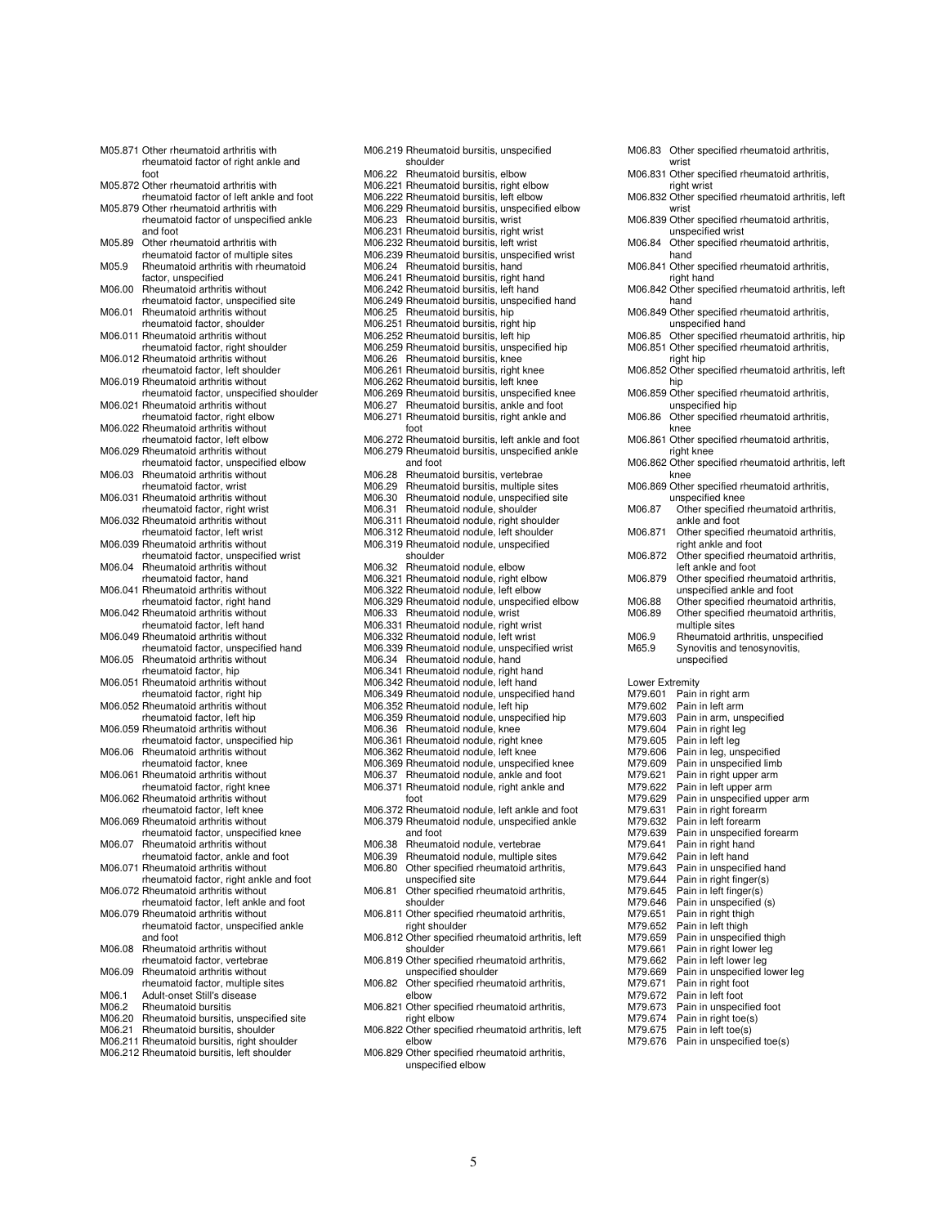M05.871 Other rheumatoid arthritis with rheumatoid factor of right ankle and foot M05.872 Other rheumatoid arthritis with rheumatoid factor of left ankle and foot M05.879 Other rheumatoid arthritis with rheumatoid factor of unspecified ankle and foot M05.89 Other rheumatoid arthritis with rheumatoid factor of multiple sites M05.9 Rheumatoid arthritis with rheumatoid factor, unspecified M06.00 Rheumatoid arthritis without rheumatoid factor, unspecified site M06.01 Rheumatoid arthritis without rheumatoid factor, shoulder M06.011 Rheumatoid arthritis without rheumatoid factor, right shoulder M06.012 Rheumatoid arthritis without rheumatoid factor, left shoulder M06.019 Rheumatoid arthritis without rheumatoid factor, unspecified shoulder M06.021 Rheumatoid arthritis without rheumatoid factor, right elbow M06.022 Rheumatoid arthritis without rheumatoid factor, left elbow M06.029 Rheumatoid arthritis without rheumatoid factor, unspecified elbow M06.03 Rheumatoid arthritis without rheumatoid factor, wrist M06.031 Rheumatoid arthritis without rheumatoid factor, right wrist M06.032 Rheumatoid arthritis without rheumatoid factor, left wrist M06.039 Rheumatoid arthritis without rheumatoid factor, unspecified wrist M06.04 Rheumatoid arthritis without rheumatoid factor, hand M06.041 Rheumatoid arthritis without rheumatoid factor, right hand M06.042 Rheumatoid arthritis without rheumatoid factor, left hand M06.049 Rheumatoid arthritis without rheumatoid factor, unspecified hand M06.05 Rheumatoid arthritis without rheumatoid factor, hip M06.051 Rheumatoid arthritis without rheumatoid factor, right hip M06.052 Rheumatoid arthritis without rheumatoid factor, left hip M06.059 Rheumatoid arthritis without rheumatoid factor, unspecified hip M06.06 Rheumatoid arthritis without rheumatoid factor, knee M06.061 Rheumatoid arthritis without rheumatoid factor, right knee M06.062 Rheumatoid arthritis without rheumatoid factor, left knee M06.069 Rheumatoid arthritis without rheumatoid factor, unspecified knee M06.07 Rheumatoid arthritis without rheumatoid factor, ankle and foot M06.071 Rheumatoid arthritis without rheumatoid factor, right ankle and foot M06.072 Rheumatoid arthritis without rheumatoid factor, left ankle and foot M06.079 Rheumatoid arthritis without rheumatoid factor, unspecified ankle and foot M06.08 Rheumatoid arthritis without rheumatoid factor, vertebrae M06.09 Rheumatoid arthritis without rheumatoid factor, multiple sites M06.1 Adult-onset Still's disease<br>M06.2 Rheumatoid bursitis Rheumatoid bursitis M06.20 Rheumatoid bursitis, unspecified site M06.21 Rheumatoid bursitis, shoulder M06.211 Rheumatoid bursitis, right shoulder M06.212 Rheumatoid bursitis, left shoulder

M06.219 Rheumatoid bursitis, unspecified shoulder M06.22 Rheumatoid bursitis, elbow M06.221 Rheumatoid bursitis, right elbow M06.222 Rheumatoid bursitis, left elbow M06.229 Rheumatoid bursitis, unspecified elbow M06.23 Rheumatoid bursitis, wrist M06.231 Rheumatoid bursitis, right wrist M06.232 Rheumatoid bursitis, left wrist M06.239 Rheumatoid bursitis, unspecified wrist M06.24 Rheumatoid bursitis, hand M06.241 Rheumatoid bursitis, right hand M06.242 Rheumatoid bursitis, left hand M06.249 Rheumatoid bursitis, unspecified hand M06.25 Rheumatoid bursitis, hip M06.251 Rheumatoid bursitis, right hip M06.252 Rheumatoid bursitis, left hip M06.259 Rheumatoid bursitis, unspecified hip M06.26 Rheumatoid bursitis, knee M06.261 Rheumatoid bursitis, right knee M06.262 Rheumatoid bursitis, left knee M06.269 Rheumatoid bursitis, unspecified knee M06.27 Rheumatoid bursitis, ankle and foot M06.271 Rheumatoid bursitis, right ankle and foot M06.272 Rheumatoid bursitis, left ankle and foot M06.279 Rheumatoid bursitis, unspecified ankle and foot M06.28 Rheumatoid bursitis, vertebrae M06.29 Rheumatoid bursitis, multiple sites M06.30 Rheumatoid nodule, unspecified site M06.31 Rheumatoid nodule, shoulder M06.311 Rheumatoid nodule, right shoulder M06.312 Rheumatoid nodule, left shoulder M06.319 Rheumatoid nodule, unspecified shoulder M06.32 Rheumatoid nodule, elbow M06.321 Rheumatoid nodule, right elbow M06.322 Rheumatoid nodule, left elbow M06.329 Rheumatoid nodule, unspecified elbow M06.33 Rheumatoid nodule, wrist M06.331 Rheumatoid nodule, right wrist M06.332 Rheumatoid nodule, left wrist M06.339 Rheumatoid nodule, unspecified wrist M06.34 Rheumatoid nodule, hand M06.341 Rheumatoid nodule, right hand M06.342 Rheumatoid nodule, left hand M06.349 Rheumatoid nodule, unspecified hand M06.352 Rheumatoid nodule, left hip M06.359 Rheumatoid nodule, unspecified hip M06.36 Rheumatoid nodule, knee M06.361 Rheumatoid nodule, right knee M06.362 Rheumatoid nodule, left knee M06.369 Rheumatoid nodule, unspecified knee M06.37 Rheumatoid nodule, ankle and foot M06.371 Rheumatoid nodule, right ankle and foot M06.372 Rheumatoid nodule, left ankle and foot M06.379 Rheumatoid nodule, unspecified ankle and foot M06.38 Rheumatoid nodule, vertebrae M06.39 Rheumatoid nodule, multiple sites M06.80 Other specified rheumatoid arthritis, unspecified site M06.81 Other specified rheumatoid arthritis, shoulder M06.811 Other specified rheumatoid arthritis, right shoulder M06.812 Other specified rheumatoid arthritis, left shoulder M06.819 Other specified rheumatoid arthritis, unspecified shoulder M06.82 Other specified rheumatoid arthritis, elbow M06.821 Other specified rheumatoid arthritis, right elbow M06.822 Other specified rheumatoid arthritis, left elbow M06.829 Other specified rheumatoid arthritis, unspecified elbow

M06.83 Other specified rheumatoid arthritis, wrist M06.831 Other specified rheumatoid arthritis, right wrist M06.832 Other specified rheumatoid arthritis, left wrist M06.839 Other specified rheumatoid arthritis, unspecified wrist M06.84 Other specified rheumatoid arthritis, hand M06.841 Other specified rheumatoid arthritis, right hand M06.842 Other specified rheumatoid arthritis, left hand M06.849 Other specified rheumatoid arthritis unspecified hand M06.85 Other specified rheumatoid arthritis, hip M06.851 Other specified rheumatoid arthritis, right hip M06.852 Other specified rheumatoid arthritis, left hip M06.859 Other specified rheumatoid arthritis, unspecified hip M06.86 Other specified rheumatoid arthritis, knee M06.861 Other specified rheumatoid arthritis, right knee M06.862 Other specified rheumatoid arthritis, left knee M06.869 Other specified rheumatoid arthritis, unspecified knee M06.87 Other specified rheumatoid arthritis, ankle and foot M06.871 Other specified rheumatoid arthritis, right ankle and foot M06.872 Other specified rheumatoid arthritis, left ankle and foot M06.879 Other specified rheumatoid arthritis, unspecified ankle and foot M06.88 Other specified rheumatoid arthritis,<br>M06.89 Other specified rheumatoid arthritis, Other specified rheumatoid arthritis, multiple sites M06.9 Rheumatoid arthritis, unspecified<br>M65.9 Synovitis and tenosynovitis Synovitis and tenosynovitis, unspecified Lower Extremity M79.601 Pain in right arm<br>M79.602 Pain in left arm M79.602 Pain in left arm<br>M79.603 Pain in arm un M79.603 Pain in arm, unspecified<br>M79.604 Pain in right leg M79.604 Pain in right leg<br>M79.605 Pain in left leg M79.605 Pain in left leg<br>M79.606 Pain in leg. uns M79.606 Pain in leg, unspecified<br>M79.609 Pain in unspecified limb M79.609 Pain in unspecified limb<br>M79.621 Pain in right upper arm Pain in right upper arm M79.622 Pain in left upper arm<br>M79.629 Pain in unspecified up M79.629 Pain in unspecified upper arm<br>M79.631 Pain in right forearm M79.631 Pain in right forearm<br>M79.632 Pain in left forearm M79.632 Pain in left forearm<br>M79.639 Pain in unspecified M79.639 Pain in unspecified forearm<br>M79.641 Pain in right hand M79.641 Pain in right hand<br>M79.642 Pain in left hand M79.642 Pain in left hand<br>M79.643 Pain in unspecifie M79.643 Pain in unspecified hand<br>M79.644 Pain in right finger(s) M79.644 Pain in right finger(s)<br>M79.645 Pain in left finger(s) M79.645 Pain in left finger(s)<br>M79.646 Pain in unspecified M79.646 Pain in unspecified (s)<br>M79.651 Pain in right thigh M79.651 Pain in right thigh<br>M79.652 Pain in left thigh M79.652 Pain in left thigh<br>M79.659 Pain in unspecifi M79.659 Pain in unique in unique<br>M79.659 Pain in unspecified thigh<br>M79.661 Pain in right lower leg M79.661 Pain in right lower leg<br>M79.662 Pain in left lower leg M79.662 Pain in left lower leg<br>M79.669 Pain in unspecified lo M79.669 Pain in unspecified lower leg<br>M79.671 Pain in right foot M79.671 Pain in right foot<br>M79.672 Pain in left foot M79.672 Pain in left foot<br>M79.673 Pain in unspeci M79.673 Pain in unspecified foot<br>M79.674 Pain in right toe(s) M79.674 Pain in right toe(s)<br>M79.675 Pain in left toe(s) M79.675 Pain in left toe(s)<br>M79.676 Pain in unspecifie Pain in unspecified toe(s)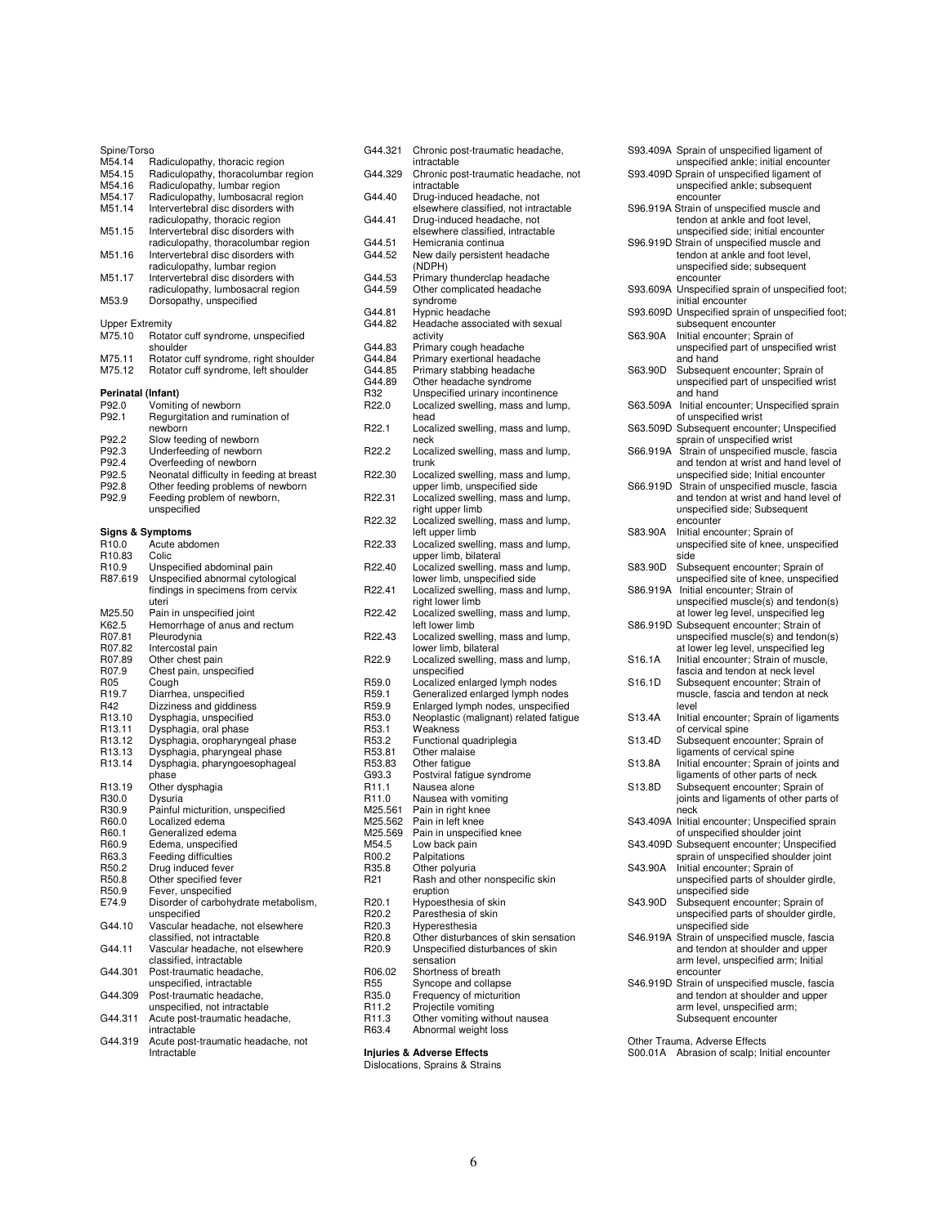| Spine/Torso            |                                                                   |
|------------------------|-------------------------------------------------------------------|
| M54.14                 | Radiculopathy, thoracic region                                    |
| M54.15                 | Radiculopathy, thoracolumbar region                               |
| M54.16<br>M54.17       | Radiculopathy, lumbar region<br>Radiculopathy, lumbosacral region |
| M51.14                 | Intervertebral disc disorders with                                |
|                        | radiculopathy, thoracic region                                    |
| M51.15                 | Intervertebral disc disorders with                                |
|                        | radiculopathy, thoracolumbar region                               |
| M51.16                 | Intervertebral disc disorders with                                |
|                        | radiculopathy, lumbar region                                      |
| M51.17                 | Intervertebral disc disorders with                                |
|                        | radiculopathy, lumbosacral region                                 |
| M53.9                  | Dorsopathy, unspecified                                           |
|                        |                                                                   |
| <b>Upper Extremity</b> |                                                                   |
| M75.10                 | Rotator cuff syndrome, unspecified                                |
|                        | shoulder                                                          |
| M75.11                 | Rotator cuff syndrome, right shoulder                             |
| M75.12                 | Rotator cuff syndrome, left shoulder                              |
|                        |                                                                   |
| Perinatal (Infant)     |                                                                   |
| P92.0                  | Vomiting of newborn                                               |
| P92.1                  | Regurgitation and rumination of                                   |
|                        | newborn                                                           |
| P92.2                  | Slow feeding of newborn                                           |
| P92.3                  | Underfeeding of newborn                                           |
| P92.4                  | Overfeeding of newborn                                            |
| P92.5                  | Neonatal difficulty in feeding at breast                          |
| P92.8                  | Other feeding problems of newborn                                 |
| P92.9                  | Feeding problem of newborn,                                       |
|                        | unspecified                                                       |
|                        |                                                                   |
|                        | Signs & Symptoms                                                  |
| R10.0                  | Acute abdomen                                                     |
| R10.83                 | Colic                                                             |
| R <sub>10.9</sub>      | Unspecified abdominal pain                                        |
| R87.619                | Unspecified abnormal cytological                                  |
|                        | findings in specimens from cervix                                 |
|                        | uteri                                                             |
| M25.50                 | Pain in unspecified joint                                         |
| K62.5                  | Hemorrhage of anus and rectum                                     |
| R07.81                 | Pleurodynia                                                       |
| R07.82                 | Intercostal pain                                                  |
| R07.89                 | Other chest pain                                                  |
| R07.9                  | Chest pain, unspecified                                           |
| R05                    | Cough                                                             |
| R <sub>19.7</sub>      | Diarrhea, unspecified                                             |
| R42                    | Dizziness and giddiness                                           |
| R13.10                 | Dysphagia, unspecified                                            |
| R <sub>13.11</sub>     | Dysphagia, oral phase                                             |
| R13.12                 | Dysphagia, oropharyngeal phase                                    |
| R13.13                 | Dysphagia, pharyngeal phase                                       |
| R13.14                 | Dysphagia, pharyngoesophageal                                     |
|                        | phase                                                             |
| R13.19                 | Other dysphagia                                                   |
| R30.0                  | Dysuria                                                           |
| R30.9                  | Painful micturition, unspecified                                  |
| R60.0                  | Localized edema                                                   |
| R60.1                  | Generalized edema                                                 |
| H60.9                  | Edema, unspecified                                                |
| R63.3                  | Feeding difficulties                                              |
| R50.2                  | Drug induced fever                                                |
| R50.8                  | Other specified fever                                             |
| R50.9                  | Fever, unspecified                                                |
| E74.9                  | Disorder of carbohydrate metabolism,                              |
| G44.10                 | unspecified                                                       |
|                        | Vascular headache, not elsewhere<br>classified, not intractable   |
| G44.11                 |                                                                   |
|                        | Vascular headache, not elsewhere<br>classified, intractable       |
| G44.301                | Post-traumatic headache,                                          |
|                        | unspecified, intractable                                          |
| G44.309                | Post-traumatic headache,                                          |
|                        | unspecified, not intractable                                      |
| G44.311                | Acute post-traumatic headache,                                    |
|                        | intractable                                                       |
| G44.319                | Acute post-traumatic headache, not                                |
|                        | Intractable                                                       |
|                        |                                                                   |

| G44.321                    | Chronic post-traumatic headache,<br>intractable                                       |
|----------------------------|---------------------------------------------------------------------------------------|
| G44.329                    | Chronic post-traumatic headache, not<br>intractable                                   |
| G44.40                     | Drug-induced headache, not<br>elsewhere classified, not intractable                   |
| G44.41                     | Drug-induced headache, not<br>elsewhere classified, intractable                       |
| G44.51                     | Hemicrania continua                                                                   |
| G44.52                     | New daily persistent headache<br>(NDPH)                                               |
| G44.53                     | Primary thunderclap headache                                                          |
| G44.59                     | Other complicated headache<br>syndrome                                                |
| G44.81                     | Hypnic headache                                                                       |
| G44.82                     | Headache associated with sexual<br>activity                                           |
| G44.83                     | Primary cough headache                                                                |
| G44.84                     | Primary exertional headache                                                           |
| G44.85                     | Primary stabbing headache                                                             |
| G44.89                     | Other headache syndrome                                                               |
| R32                        | Unspecified urinary incontinence                                                      |
| R22.0                      | Localized swelling, mass and lump,                                                    |
|                            | head                                                                                  |
| R22.1                      | Localized swelling, mass and lump,<br>neck                                            |
| R22.2                      | Localized swelling, mass and lump,<br>trunk                                           |
| R22.30                     | Localized swelling, mass and lump,<br>upper limb, unspecified side                    |
| R22.31                     | Localized swelling, mass and lump,<br>right upper limb                                |
| R22.32                     | Localized swelling, mass and lump,<br>left upper limb                                 |
| R22.33                     | Localized swelling, mass and lump,<br>upper limb, bilateral                           |
| R22.40                     | Localized swelling, mass and lump,<br>lower limb, unspecified side                    |
| R <sub>22.41</sub>         | Localized swelling, mass and lump,<br>right lower limb                                |
| R22.42                     | Localized swelling, mass and lump,<br>left lower limb                                 |
| R22.43                     | Localized swelling, mass and lump,<br>lower limb, bilateral                           |
| R22.9                      | Localized swelling, mass and lump,<br>unspecified                                     |
| R59.0                      | Localized enlarged lymph nodes                                                        |
| R59.1                      | Generalized enlarged lymph nodes                                                      |
| R59.9                      | Enlarged lymph nodes, unspecified                                                     |
| R53.0                      | Neoplastic (malignant) related fatigue                                                |
| R53.1                      | Weakness                                                                              |
| R53.2                      | Functional quadriplegia                                                               |
| R53.81                     | Other malaise                                                                         |
| R53.83                     | Other fatigue                                                                         |
| G93.3                      | Postviral fatigue syndrome                                                            |
| R11.1                      | Nausea alone                                                                          |
| R11.0                      | Nausea with vomiting                                                                  |
| M25.561                    | Pain in right knee                                                                    |
| M25.562                    | Pain in left knee                                                                     |
| M25.569                    | Pain in unspecified knee                                                              |
| M54.5                      | Low back pain                                                                         |
| R00.2                      | Palpitations                                                                          |
| R35.8<br>R21               | Other polyuria<br>Rash and other nonspecific skin                                     |
|                            | eruption                                                                              |
| R <sub>20.1</sub>          | Hypoesthesia of skin                                                                  |
| R <sub>20.2</sub><br>R20.3 | Paresthesia of skin<br>Hyperesthesia                                                  |
| R <sub>20.8</sub>          |                                                                                       |
| R <sub>20.9</sub>          | Other disturbances of skin sensation<br>Unspecified disturbances of skin<br>sensation |
| R06.02                     | Shortness of breath                                                                   |
| R55                        | Syncope and collapse                                                                  |
| R35.0                      | Frequency of micturition                                                              |
| R <sub>11.2</sub>          | Projectile vomiting                                                                   |
| R11.3                      | Other vomiting without nausea                                                         |
| R63.4                      | Abnormal weight loss                                                                  |

**Injuries & Adverse Effects**  Dislocations, Sprains & Strains

|          | S93.409A Sprain of unspecified ligament of<br>unspecified ankle; initial encounter        |
|----------|-------------------------------------------------------------------------------------------|
|          | S93.409D Sprain of unspecified ligament of<br>unspecified ankle; subsequent               |
|          | encounter<br>S96.919A Strain of unspecified muscle and<br>tendon at ankle and foot level, |
|          | unspecified side; initial encounter                                                       |
|          | S96.919D Strain of unspecified muscle and<br>tendon at ankle and foot level,              |
|          | unspecified side; subsequent                                                              |
| S93.609A | encounter<br>Unspecified sprain of unspecified foot;                                      |
| S93.609D | initial encounter<br>Unspecified sprain of unspecified foot;                              |
| S63.90A  | subsequent encounter<br>Initial encounter; Sprain of                                      |
|          | unspecified part of unspecified wrist<br>and hand                                         |
| S63.90D  | Subsequent encounter; Sprain of<br>unspecified part of unspecified wrist<br>and hand      |
| S63.509A | Initial encounter; Unspecified sprain                                                     |
| S63.509D | of unspecified wrist<br>Subsequent encounter; Unspecified                                 |
| S66.919A | sprain of unspecified wrist<br>Strain of unspecified muscle, fascia                       |
|          | and tendon at wrist and hand level of<br>unspecified side; Initial encounter              |
| S66.919D | Strain of unspecified muscle, fascia                                                      |
|          | and tendon at wrist and hand level of<br>unspecified side; Subsequent                     |
| S83.90A  | encounter<br>Initial encounter; Sprain of                                                 |
|          | unspecified site of knee, unspecified                                                     |
| S83.90D  | side<br>Subsequent encounter; Sprain of                                                   |
| S86.919A | unspecified site of knee, unspecified<br>Initial encounter; Strain of                     |
|          | unspecified muscle(s) and tendon(s)<br>at lower leg level, unspecified leg                |
| S86.919D | Subsequent encounter; Strain of<br>unspecified muscle(s) and tendon(s)                    |
|          | at lower leg level, unspecified leg                                                       |
| S16.1A   | Initial encounter; Strain of muscle,<br>fascia and tendon at neck level                   |
| S16.1D   | Subsequent encounter; Strain of                                                           |
|          | muscle, fascia and tendon at neck<br>level                                                |
| S13.4A   | Initial encounter; Sprain of ligaments                                                    |
| S13.4D   | of cervical spine<br>Subsequent encounter; Sprain of                                      |
|          | ligaments of cervical spine                                                               |
| S13.8A   | Initial encounter; Sprain of joints and<br>ligaments of other parts of neck               |
| S13.8D   | Subsequent encounter; Sprain of<br>joints and ligaments of other parts of<br>neck         |
| S43.409A | Initial encounter; Unspecified sprain                                                     |
|          | of unspecified shoulder joint<br>S43.409D Subsequent encounter; Unspecified               |
| S43.90A  | sprain of unspecified shoulder joint<br>Initial encounter; Sprain of                      |
|          | unspecified parts of shoulder girdle,<br>unspecified side                                 |
| S43.90D  | Subsequent encounter; Sprain of<br>unspecified parts of shoulder girdle,                  |
|          | unspecified side<br>S46.919A Strain of unspecified muscle, fascia                         |
|          | and tendon at shoulder and upper<br>arm level, unspecified arm; Initial                   |
| S46.919D | encounter<br>Strain of unspecified muscle, fascia                                         |
|          | and tendon at shoulder and upper<br>arm level, unspecified arm;                           |
|          | Subsequent encounter                                                                      |

Other Trauma, Adverse Effects S00.01A Abrasion of scalp; Initial encounter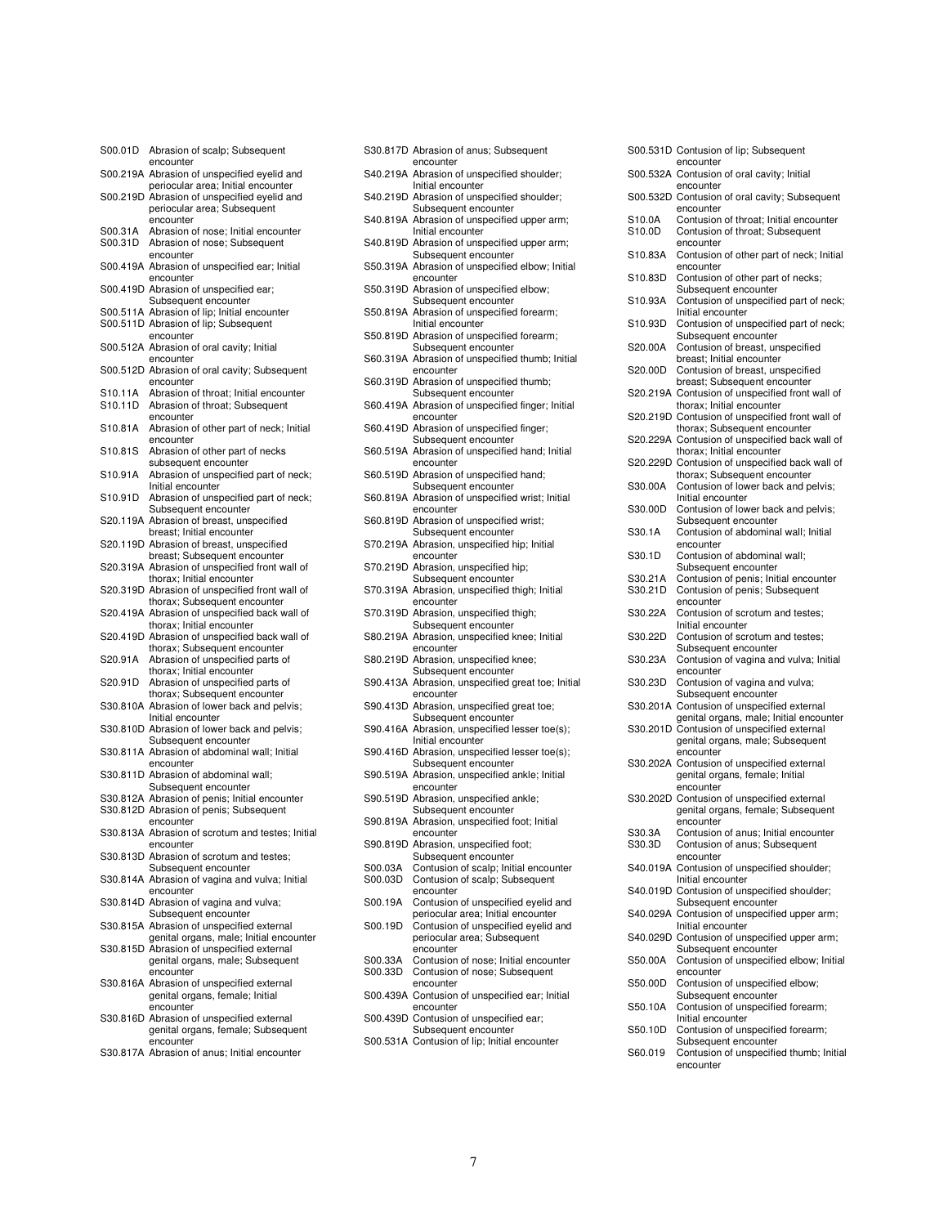| S00.01D | Abrasion of scalp; Subsequent                                                        |
|---------|--------------------------------------------------------------------------------------|
|         | encounter<br>S00.219A Abrasion of unspecified eyelid and                             |
|         | periocular area; Initial encounter                                                   |
|         | S00.219D Abrasion of unspecified eyelid and<br>periocular area; Subsequent           |
| S00.31A | encounter<br>Abrasion of nose; Initial encounter                                     |
| S00.31D | Abrasion of nose; Subsequent<br>encounter                                            |
|         | S00.419A Abrasion of unspecified ear; Initial<br>encounter                           |
|         | S00.419D Abrasion of unspecified ear;<br>Subsequent encounter                        |
|         | S00.511A Abrasion of lip; Initial encounter                                          |
|         | S00.511D Abrasion of lip; Subsequent<br>encounter                                    |
|         | S00.512A Abrasion of oral cavity; Initial<br>encounter                               |
|         | S00.512D Abrasion of oral cavity; Subsequent<br>encounter                            |
| S10.11A | Abrasion of throat; Initial encounter                                                |
| S10.11D | Abrasion of throat; Subsequent                                                       |
| S10.81A | encounter<br>Abrasion of other part of neck; Initial                                 |
| S10.81S | encounter<br>Abrasion of other part of necks                                         |
|         | subsequent encounter                                                                 |
| S10.91A | Abrasion of unspecified part of neck;<br>Initial encounter                           |
| S10.91D | Abrasion of unspecified part of neck;                                                |
|         | Subsequent encounter                                                                 |
|         | S20.119A Abrasion of breast, unspecified<br>breast; Initial encounter                |
|         | S20.119D Abrasion of breast, unspecified                                             |
|         | breast; Subsequent encounter                                                         |
|         | S20.319A Abrasion of unspecified front wall of<br>thorax; Initial encounter          |
|         | S20.319D Abrasion of unspecified front wall of                                       |
|         | thorax; Subsequent encounter                                                         |
|         | S20.419A Abrasion of unspecified back wall of<br>thorax; Initial encounter           |
|         | S20.419D Abrasion of unspecified back wall of                                        |
| S20.91A | thorax; Subsequent encounter<br>Abrasion of unspecified parts of                     |
| S20.91D | thorax; Initial encounter                                                            |
|         | Abrasion of unspecified parts of<br>thorax; Subsequent encounter                     |
|         | S30.810A Abrasion of lower back and pelvis;                                          |
|         | Initial encounter                                                                    |
|         | S30.810D Abrasion of lower back and pelvis;<br>Subsequent encounter                  |
|         | S30.811A Abrasion of abdominal wall; Initial                                         |
|         | encounter<br>S30.811D Abrasion of abdominal wall;                                    |
|         | Subsequent encounter                                                                 |
|         | S30.812A Abrasion of penis; Initial encounter                                        |
|         | S30.812D Abrasion of penis; Subsequent<br>encounter                                  |
|         | S30.813A Abrasion of scrotum and testes; Initial                                     |
|         | encounter<br>S30.813D Abrasion of scrotum and testes;                                |
|         | Subsequent encounter<br>S30.814A Abrasion of vagina and vulva; Initial               |
|         | encounter<br>S30.814D Abrasion of vagina and vulva;                                  |
|         | Subsequent encounter                                                                 |
|         | S30.815A Abrasion of unspecified external<br>genital organs, male; Initial encounter |
|         | S30.815D Abrasion of unspecified external                                            |
|         | genital organs, male; Subsequent                                                     |
|         | encounter<br>S30.816A Abrasion of unspecified external                               |
|         | genital organs, female; Initial                                                      |
|         | encounter                                                                            |
|         | S30.816D Abrasion of unspecified external                                            |
|         | genital organs, female; Subsequent<br>encounter                                      |
|         | S30.817A Abrasion of anus; Initial encounter                                         |

|                    | S30.817D Abrasion of anus; Subsequent<br>encounter                        |
|--------------------|---------------------------------------------------------------------------|
|                    | S40.219A Abrasion of unspecified shoulder;<br>Initial encounter           |
|                    | S40.219D Abrasion of unspecified shoulder;<br>Subsequent encounter        |
|                    | S40.819A Abrasion of unspecified upper arm;<br>Initial encounter          |
| S40.819D           | Abrasion of unspecified upper arm;<br>Subsequent encounter                |
|                    | S50.319A Abrasion of unspecified elbow; Initial<br>encounter              |
| S50.319D           | Abrasion of unspecified elbow;<br>Subsequent encounter                    |
|                    | S50.819A Abrasion of unspecified forearm;<br>Initial encounter            |
| S50.819D           | Abrasion of unspecified forearm;<br>Subsequent encounter                  |
|                    | S60.319A Abrasion of unspecified thumb; Initial<br>encounter              |
|                    | S60.319D Abrasion of unspecified thumb;<br>Subsequent encounter           |
|                    | S60.419A Abrasion of unspecified finger; Initial<br>encounter             |
| S60.419D           | Abrasion of unspecified finger;<br>Subsequent encounter                   |
|                    | S60.519A Abrasion of unspecified hand; Initial<br>encounter               |
|                    | S60.519D Abrasion of unspecified hand;<br>Subsequent encounter            |
|                    | S60.819A Abrasion of unspecified wrist; Initial<br>encounter              |
|                    | S60.819D Abrasion of unspecified wrist;<br>Subsequent encounter           |
|                    | S70.219A Abrasion, unspecified hip; Initial<br>encounter                  |
|                    | S70.219D Abrasion, unspecified hip;<br>Subsequent encounter               |
|                    | S70.319A Abrasion, unspecified thigh; Initial<br>encounter                |
| S70.319D           | Abrasion, unspecified thigh;<br>Subsequent encounter                      |
|                    | S80.219A Abrasion, unspecified knee; Initial<br>encounter                 |
|                    | S80.219D Abrasion, unspecified knee;<br>Subsequent encounter              |
|                    | S90.413A Abrasion, unspecified great toe; Initial<br>encounter            |
|                    | S90.413D Abrasion, unspecified great toe;<br>Subsequent encounter         |
|                    | S90.416A Abrasion, unspecified lesser toe(s);<br>Initial encounter        |
|                    | S90.416D Abrasion, unspecified lesser toe(s);<br>Subsequent encounter     |
|                    | S90.519A Abrasion, unspecified ankle; Initial<br>encounter                |
|                    | S90.519D Abrasion, unspecified ankle;<br>Subsequent encounter             |
|                    | S90.819A Abrasion, unspecified foot; Initial<br>encounter                 |
|                    | S90.819D Abrasion, unspecified foot;<br>Subsequent encounter              |
| S00.03A<br>S00.03D | Contusion of scalp; Initial encounter<br>Contusion of scalp; Subsequent   |
| S00.19A            | encounter<br>Contusion of unspecified eyelid and                          |
| S00.19D            | periocular area; Initial encounter<br>Contusion of unspecified eyelid and |
|                    | periocular area; Subsequent<br>encounter                                  |
| S00.33A<br>S00.33D | Contusion of nose; Initial encounter<br>Contusion of nose; Subsequent     |
|                    | encounter<br>S00.439A Contusion of unspecified ear; Initial               |
|                    | encounter<br>S00.439D Contusion of unspecified ear;                       |
|                    | Subsequent encounter<br>S00.531A Contusion of lip; Initial encounter      |
|                    |                                                                           |

|                    | S00.531D Contusion of lip; Subsequent<br>encounter                           |
|--------------------|------------------------------------------------------------------------------|
|                    | S00.532A Contusion of oral cavity; Initial<br>encounter                      |
|                    | S00.532D Contusion of oral cavity; Subsequent<br>encounter                   |
| S10.0A             | Contusion of throat; Initial encounter                                       |
| S10.0D             | Contusion of throat; Subsequent                                              |
| S10.83A            | encounter<br>Contusion of other part of neck; Initial                        |
| S10.83D            | encounter<br>Contusion of other part of necks;                               |
| S10.93A            | Subsequent encounter                                                         |
|                    | Contusion of unspecified part of neck;<br>Initial encounter                  |
| S10.93D            | Contusion of unspecified part of neck;<br>Subsequent encounter               |
| S20.00A            | Contusion of breast, unspecified<br>breast; Initial encounter                |
| S20.00D            | Contusion of breast, unspecified<br>breast; Subsequent encounter             |
| S20.219A           | Contusion of unspecified front wall of<br>thorax; Initial encounter          |
| S20.219D           | Contusion of unspecified front wall of<br>thorax; Subsequent encounter       |
|                    | S20.229A Contusion of unspecified back wall of<br>thorax; Initial encounter  |
| S20.229D           | Contusion of unspecified back wall of<br>thorax; Subsequent encounter        |
| S30.00A            | Contusion of lower back and pelvis;                                          |
| S30.00D            | Initial encounter<br>Contusion of lower back and pelvis;                     |
| S30.1A             | Subsequent encounter<br>Contusion of abdominal wall; Initial                 |
| S30.1D             | encounter<br>Contusion of abdominal wall;                                    |
|                    | Subsequent encounter                                                         |
| S30.21A<br>S30.21D | Contusion of penis; Initial encounter<br>Contusion of penis; Subsequent      |
| S30.22A            | encounter<br>Contusion of scrotum and testes;                                |
| S30.22D            | Initial encounter<br>Contusion of scrotum and testes;                        |
| S30.23A            | Subsequent encounter<br>Contusion of vagina and vulva; Initial               |
| S30.23D            | encounter<br>Contusion of vagina and vulva;                                  |
| S30.201A           | Subsequent encounter<br>Contusion of unspecified external                    |
|                    | genital organs, male; Initial encounter                                      |
| S30.201D           | Contusion of unspecified external<br>genital organs, male; Subsequent        |
|                    | encounter                                                                    |
| S30.202A           | Contusion of unspecified external<br>genital organs, female; Initial         |
|                    | encounter                                                                    |
| S30.202D           | Contusion of unspecified external                                            |
|                    | genital organs, female; Subsequent<br>encounter                              |
| S30.3A             | Contusion of anus; Initial encounter                                         |
| S30.3D             | Contusion of anus; Subsequent                                                |
|                    | encounter                                                                    |
|                    | S40.019A Contusion of unspecified shoulder;                                  |
|                    | Initial encounter<br>S40.019D Contusion of unspecified shoulder;             |
|                    | Subsequent encounter<br>S40.029A Contusion of unspecified upper arm;         |
|                    | Initial encounter<br>S40.029D Contusion of unspecified upper arm;            |
|                    | Subsequent encounter                                                         |
| S50.00A            | Contusion of unspecified elbow; Initial<br>encounter                         |
| S50.00D            | Contusion of unspecified elbow;<br>Subsequent encounter                      |
| S50.10A            | Contusion of unspecified forearm;                                            |
| S50.10D            |                                                                              |
|                    | Initial encounter<br>Contusion of unspecified forearm;                       |
| S60.019            | Subsequent encounter<br>Contusion of unspecified thumb; Initial<br>encounter |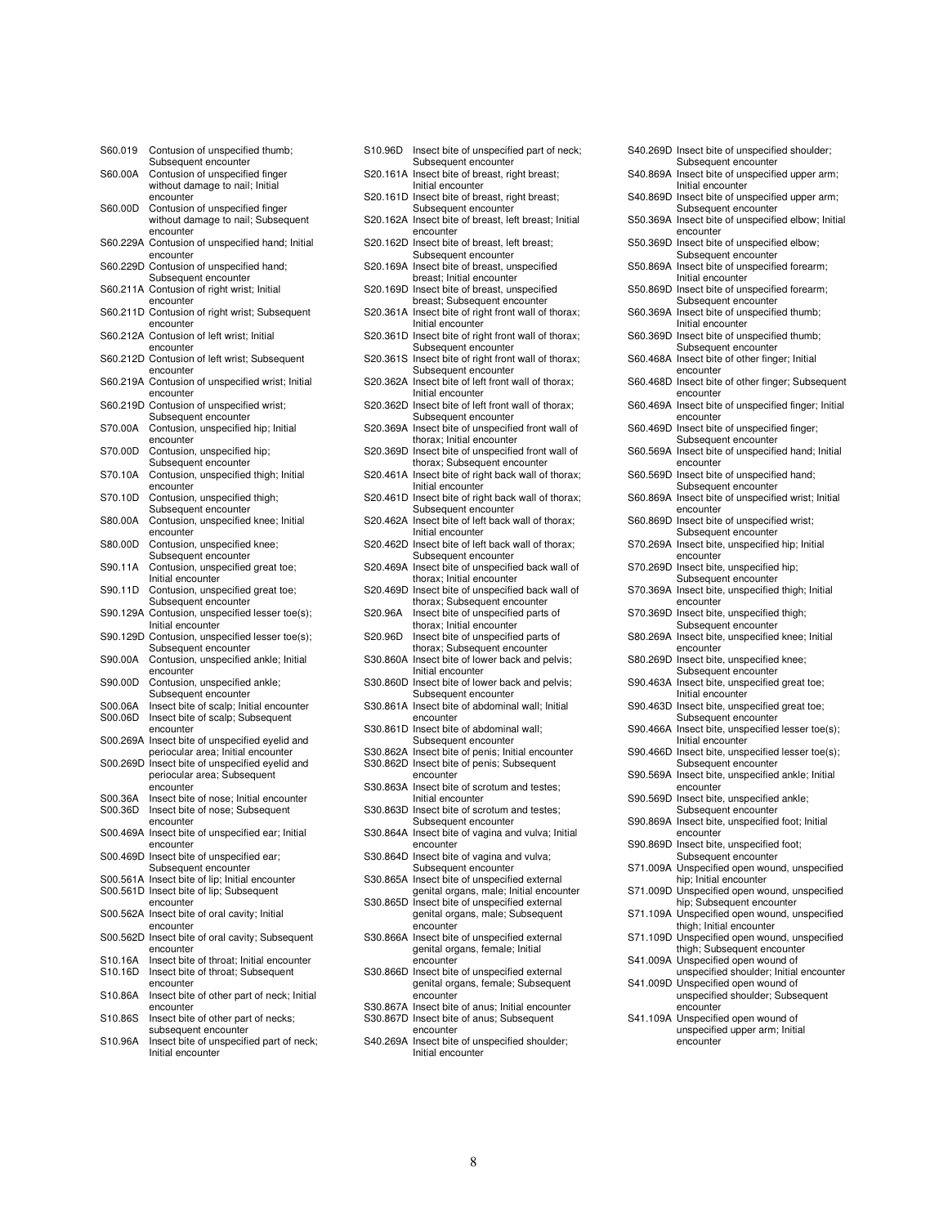| S60.019  | Contusion of unspecified thumb;                                     |
|----------|---------------------------------------------------------------------|
| S60.00A  | Subsequent encounter<br>Contusion of unspecified finger             |
|          | without damage to nail; Initial                                     |
|          | encounter                                                           |
| S60.00D  | Contusion of unspecified finger                                     |
|          | without damage to nail; Subsequent                                  |
|          | encounter<br>S60.229A Contusion of unspecified hand; Initial        |
|          | encounter                                                           |
|          | S60.229D Contusion of unspecified hand;                             |
|          | Subsequent encounter                                                |
|          | S60.211A Contusion of right wrist; Initial                          |
|          | encounter                                                           |
|          | S60.211D Contusion of right wrist; Subsequent<br>encounter          |
|          | S60.212A Contusion of left wrist; Initial                           |
|          | encounter                                                           |
|          | S60.212D Contusion of left wrist; Subsequent                        |
|          | encounter                                                           |
|          | S60.219A Contusion of unspecified wrist; Initial<br>encounter       |
|          | S60.219D Contusion of unspecified wrist;                            |
|          | Subsequent encounter                                                |
| S70.00A  | Contusion, unspecified hip; Initial                                 |
|          | encounter                                                           |
| S70.00D  | Contusion, unspecified hip;                                         |
| S70.10A  | Subsequent encounter                                                |
|          | Contusion, unspecified thigh; Initial<br>encounter                  |
| S70.10D  | Contusion, unspecified thigh;                                       |
|          | Subsequent encounter                                                |
| S80.00A  | Contusion, unspecified knee; Initial                                |
|          | encounter                                                           |
| S80.00D  | Contusion, unspecified knee;<br>Subsequent encounter                |
| S90.11A  | Contusion, unspecified great toe;                                   |
|          | Initial encounter                                                   |
| S90.11D  | Contusion, unspecified great toe;                                   |
|          | Subsequent encounter                                                |
|          | S90.129A Contusion, unspecified lesser toe(s);<br>Initial encounter |
|          | S90.129D Contusion, unspecified lesser toe(s);                      |
|          | Subsequent encounter                                                |
| S90.00A  | Contusion, unspecified ankle; Initial                               |
|          | encounter                                                           |
| S90.00D  | Contusion, unspecified ankle;                                       |
| S00.06A  | Subsequent encounter<br>Insect bite of scalp; Initial encounter     |
| S00.06D  | Insect bite of scalp; Subsequent                                    |
|          | encounter                                                           |
| S00.269A | Insect bite of unspecified eyelid and                               |
|          | periocular area; Initial encounter                                  |
| S00.269D | Insect bite of unspecified eyelid and                               |
|          | periocular area; Subsequent<br>encounter                            |
| S00.36A  | Insect bite of nose; Initial encounter                              |
| S00.36D  | Insect bite of nose; Subsequent                                     |
|          | encounter                                                           |
|          | S00.469A Insect bite of unspecified ear; Initial                    |
|          | encounter                                                           |
| S00.469D | Insect bite of unspecified ear;<br>Subsequent encounter             |
|          | S00.561A Insect bite of lip; Initial encounter                      |
|          | S00.561D Insect bite of lip; Subsequent                             |
|          | encounter                                                           |
|          | S00.562A Insect bite of oral cavity; Initial                        |
|          | encounter<br>S00.562D Insect bite of oral cavity; Subsequent        |
|          | encounter                                                           |
| S10.16A  | Insect bite of throat; Initial encounter                            |
| S10.16D  | Insect bite of throat; Subsequent                                   |
|          | encounter                                                           |
| S10.86A  | Insect bite of other part of neck; Initial                          |
| S10.86S  | encounter<br>Insect bite of other part of necks;                    |
|          | subsequent encounter                                                |
| S10.96A  | Insect bite of unspecified part of neck;                            |
|          | Initial encounter                                                   |

| S10.96D  | Insect bite of unspecified part of neck;<br>Subsequent encounter                            |
|----------|---------------------------------------------------------------------------------------------|
| S20.161A | Insect bite of breast, right breast;<br>Initial encounter                                   |
|          | S20.161D Insect bite of breast, right breast;<br>Subsequent encounter                       |
|          | S20.162A Insect bite of breast, left breast; Initial<br>encounter                           |
| S20.162D | Insect bite of breast, left breast;<br>Subsequent encounter                                 |
|          | S20.169A Insect bite of breast, unspecified<br>breast; Initial encounter                    |
|          | S20.169D Insect bite of breast, unspecified<br>breast; Subsequent encounter                 |
| S20.361A | Insect bite of right front wall of thorax;<br>Initial encounter                             |
| S20.361D | Insect bite of right front wall of thorax;<br>Subsequent encounter                          |
| S20.361S | Insect bite of right front wall of thorax;<br>Subsequent encounter                          |
| S20.362A | Insect bite of left front wall of thorax;<br>Initial encounter                              |
|          | S20.362D Insect bite of left front wall of thorax;<br>Subsequent encounter                  |
| S20.369A | Insect bite of unspecified front wall of<br>thorax; Initial encounter                       |
| S20.369D | Insect bite of unspecified front wall of                                                    |
| S20.461A | thorax; Subsequent encounter<br>Insect bite of right back wall of thorax;                   |
|          | Initial encounter<br>S20.461D Insect bite of right back wall of thorax;                     |
| S20.462A | Subsequent encounter<br>Insect bite of left back wall of thorax;                            |
|          | Initial encounter<br>S20.462D Insect bite of left back wall of thorax;                      |
|          | Subsequent encounter<br>S20.469A Insect bite of unspecified back wall of                    |
| S20.469D | thorax; Initial encounter<br>Insect bite of unspecified back wall of                        |
| S20.96A  | thorax; Subsequent encounter<br>Insect bite of unspecified parts of                         |
| S20.96D  | thorax; Initial encounter<br>Insect bite of unspecified parts of                            |
| S30.860A | thorax; Subsequent encounter<br>Insect bite of lower back and pelvis;                       |
| S30.860D | Initial encounter<br>Insect bite of lower back and pelvis;                                  |
|          | Subsequent encounter<br>S30.861A Insect bite of abdominal wall; Initial                     |
| S30.861D | encounter<br>Insect bite of abdominal wall;                                                 |
|          | Subsequent encounter<br>S30.862A Insect bite of penis; Initial encounter                    |
|          | S30.862D Insect bite of penis; Subsequent<br>encounter                                      |
|          | S30.863A Insect bite of scrotum and testes;<br>Initial encounter                            |
|          | S30.863D Insect bite of scrotum and testes;<br>Subsequent encounter                         |
|          | S30.864A Insect bite of vagina and vulva; Initial<br>encounter                              |
|          | S30.864D Insect bite of vagina and vulva;<br>Subsequent encounter                           |
|          | S30.865A Insect bite of unspecified external<br>genital organs, male; Initial encounter     |
|          | S30.865D Insect bite of unspecified external<br>genital organs, male; Subsequent            |
| S30.866A | encounter<br>Insect bite of unspecified external                                            |
|          | genital organs, female; Initial<br>encounter                                                |
|          | S30.866D Insect bite of unspecified external<br>genital organs, female; Subsequent          |
|          | encounter                                                                                   |
|          | S30.867A Insect bite of anus; Initial encounter<br>S30.867D Insect bite of anus; Subsequent |
|          | encounter<br>S40.269A Insect bite of unspecified shoulder;                                  |
|          | Initial encounter                                                                           |

|          | S40.269D Insect bite of unspecified shoulder;                                      |
|----------|------------------------------------------------------------------------------------|
| S40.869A | Subsequent encounter<br>Insect bite of unspecified upper arm;<br>Initial encounter |
|          | S40.869D Insect bite of unspecified upper arm;<br>Subsequent encounter             |
|          | S50.369A Insect bite of unspecified elbow; Initial<br>encounter                    |
|          | S50.369D Insect bite of unspecified elbow;                                         |
| S50.869A | Subsequent encounter<br>Insect bite of unspecified forearm;                        |
|          | Initial encounter<br>S50.869D Insect bite of unspecified forearm;                  |
| S60.369A | Subsequent encounter<br>Insect bite of unspecified thumb;                          |
|          | Initial encounter<br>S60.369D Insect bite of unspecified thumb;                    |
| S60.468A | Subsequent encounter<br>Insect bite of other finger; Initial                       |
|          | encounter<br>S60.468D Insect bite of other finger; Subsequent                      |
|          | encounter<br>S60.469A Insect bite of unspecified finger; Initial                   |
|          | encounter<br>S60.469D Insect bite of unspecified finger;                           |
| S60.569A | Subsequent encounter<br>Insect bite of unspecified hand; Initial                   |
|          | encounter<br>S60.569D Insect bite of unspecified hand;                             |
| S60.869A | Subsequent encounter<br>Insect bite of unspecified wrist; Initial                  |
| S60.869D | encounter<br>Insect bite of unspecified wrist;                                     |
| S70.269A | Subsequent encounter<br>Insect bite, unspecified hip; Initial                      |
|          | encounter<br>S70.269D Insect bite, unspecified hip;                                |
| S70.369A | Subsequent encounter<br>Insect bite, unspecified thigh; Initial                    |
|          | encounter<br>S70.369D Insect bite, unspecified thigh;                              |
| S80.269A | Subsequent encounter<br>Insect bite, unspecified knee; Initial                     |
|          | encounter<br>S80.269D Insect bite, unspecified knee;                               |
| S90.463A | Subsequent encounter<br>Insect bite, unspecified great toe;                        |
| S90.463D | Initial encounter<br>Insect bite, unspecified great toe;                           |
| S90.466A | Subsequent encounter<br>Insect bite, unspecified lesser toe(s);                    |
| S90.466D | Initial encounter<br>Insect bite, unspecified lesser toe(s);                       |
| S90.569A | Subsequent encounter<br>Insect bite, unspecified ankle; Initial                    |
| S90.569D | encounter<br>Insect bite, unspecified ankle;                                       |
|          | Subsequent encounter                                                               |
| S90.869A | Insect bite, unspecified foot; Initial<br>encounter                                |
|          | S90.869D Insect bite, unspecified foot;<br>Subsequent encounter                    |
|          | S71.009A Unspecified open wound, unspecified<br>hip; Initial encounter             |
|          | S71.009D Unspecified open wound, unspecified<br>hip; Subsequent encounter          |
|          | S71.109A Unspecified open wound, unspecified<br>thigh; Initial encounter           |
|          | S71.109D Unspecified open wound, unspecified<br>thigh; Subsequent encounter        |
|          | S41.009A Unspecified open wound of<br>unspecified shoulder; Initial encounter      |
| S41.009D | Unspecified open wound of<br>unspecified shoulder; Subsequent                      |
| S41.109A | encounter<br>Unspecified open wound of                                             |
|          | unspecified upper arm; Initial                                                     |
|          | encounter                                                                          |